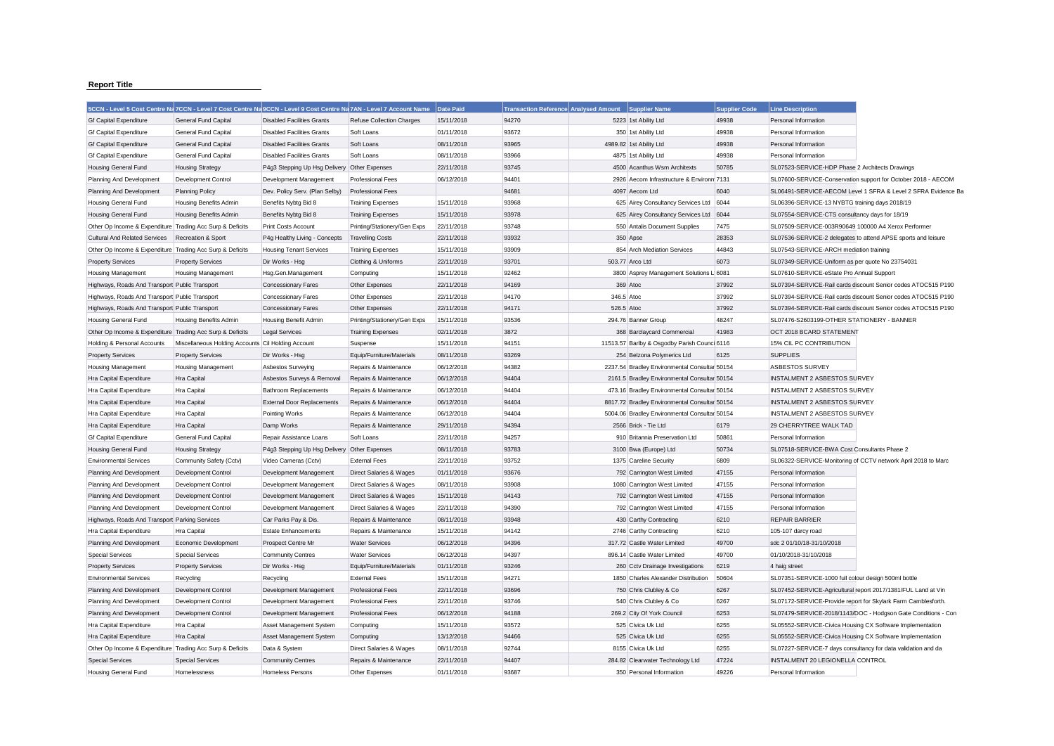## **Report Title**

|                                                           | 5CCN - Level 5 Cost Centre Na 7CCN - Level 7 Cost Centre Na 9CCN - Level 9 Cost Centre Na 7AN - Level 7 Account Name |                                   |                                  | Date Paid  | <b>Transaction Reference Analysed Amount</b> |            | <b>Supplier Name</b>                          | <b>Supplier Code</b> | <b>Line Description</b>                                       |                                                               |
|-----------------------------------------------------------|----------------------------------------------------------------------------------------------------------------------|-----------------------------------|----------------------------------|------------|----------------------------------------------|------------|-----------------------------------------------|----------------------|---------------------------------------------------------------|---------------------------------------------------------------|
| <b>Gf Capital Expenditure</b>                             | <b>General Fund Capital</b>                                                                                          | <b>Disabled Facilities Grants</b> | <b>Refuse Collection Charges</b> | 15/11/2018 | 94270                                        |            | 5223 1st Ability Ltd                          | 49938                | Personal Information                                          |                                                               |
| <b>Gf Capital Expenditure</b>                             | General Fund Capital                                                                                                 | <b>Disabled Facilities Grants</b> | Soft Loans                       | 01/11/2018 | 93672                                        |            | 350 1st Ability Ltd                           | 49938                | Personal Information                                          |                                                               |
| <b>Gf Capital Expenditure</b>                             | <b>General Fund Capital</b>                                                                                          | <b>Disabled Facilities Grants</b> | Soft Loans                       | 08/11/2018 | 93965                                        |            | 4989.82 1st Ability Ltd                       | 49938                | Personal Information                                          |                                                               |
| <b>Gf Capital Expenditure</b>                             | <b>General Fund Capital</b>                                                                                          | <b>Disabled Facilities Grants</b> | Soft Loans                       | 08/11/2018 | 93966                                        |            | 4875 1st Ability Ltd                          | 49938                | Personal Information                                          |                                                               |
| <b>Housing General Fund</b>                               | <b>Housing Strategy</b>                                                                                              | P4q3 Stepping Up Hsq Delivery     | Other Expenses                   | 22/11/2018 | 93745                                        |            | 4500 Acanthus Wsm Architexts                  | 50785                | SL07523-SERVICE-HDP Phase 2 Architects Drawings               |                                                               |
| Planning And Development                                  | <b>Development Control</b>                                                                                           | Development Management            | <b>Professional Fees</b>         | 06/12/2018 | 94401                                        |            | 2926 Aecom Infrastructure & Environm 7131     |                      |                                                               | SL07600-SERVICE-Conservation support for October 2018 - AECOM |
| Planning And Development                                  | <b>Planning Policy</b>                                                                                               | Dev. Policy Serv. (Plan Selby)    | <b>Professional Fees</b>         |            | 94681                                        |            | 4097 Aecom Ltd                                | 6040                 |                                                               | SL06491-SERVICE-AECOM Level 1 SFRA & Level 2 SFRA Evidence Ba |
| Housing General Fund                                      | Housing Benefits Admin                                                                                               | Benefits Nybtg Bid 8              | <b>Training Expenses</b>         | 15/11/2018 | 93968                                        |            | 625 Airey Consultancy Services Ltd 6044       |                      | SL06396-SERVICE-13 NYBTG training days 2018/19                |                                                               |
| <b>Housing General Fund</b>                               | Housing Benefits Admin                                                                                               | Benefits Nybtg Bid 8              | <b>Training Expenses</b>         | 15/11/2018 | 93978                                        |            | 625 Airey Consultancy Services Ltd            | 6044                 | SL07554-SERVICE-CTS consultancy days for 18/19                |                                                               |
| Other Op Income & Expenditure Trading Acc Surp & Deficits |                                                                                                                      | <b>Print Costs Account</b>        | Printing/Stationery/Gen Exps     | 22/11/2018 | 93748                                        |            | 550 Antalis Document Supplies                 | 7475                 | SL07509-SERVICE-003R90649 100000 A4 Xerox Performer           |                                                               |
| Cultural And Related Services                             | Recreation & Sport                                                                                                   | P4g Healthy Living - Concepts     | <b>Travelling Costs</b>          | 22/11/2018 | 93932                                        |            | 350 Apse                                      | 28353                |                                                               | SL07536-SERVICE-2 delegates to attend APSE sports and leisure |
| Other Op Income & Expenditure Trading Acc Surp & Deficits |                                                                                                                      | <b>Housing Tenant Services</b>    | <b>Training Expenses</b>         | 15/11/2018 | 93909                                        |            | 854 Arch Mediation Services                   | 44843                | SL07543-SERVICE-ARCH mediation training                       |                                                               |
| <b>Property Services</b>                                  | <b>Property Services</b>                                                                                             | Dir Works - Hsg                   | Clothing & Uniforms              | 22/11/2018 | 93701                                        |            | 503.77 Arco Ltd                               | 6073                 | SL07349-SERVICE-Uniform as per quote No 23754031              |                                                               |
| <b>Housing Management</b>                                 | <b>Housing Management</b>                                                                                            | Hsg.Gen.Management                | Computing                        | 15/11/2018 | 92462                                        |            | 3800 Asprey Management Solutions L 6081       |                      | SL07610-SERVICE-eState Pro Annual Support                     |                                                               |
| Highways, Roads And Transport Public Transport            |                                                                                                                      | Concessionary Fares               | Other Expenses                   | 22/11/2018 | 94169                                        |            | 369 Atoc                                      | 37992                |                                                               | SL07394-SERVICE-Rail cards discount Senior codes ATOC515 P190 |
| Highways, Roads And Transport Public Transport            |                                                                                                                      | <b>Concessionary Fares</b>        | Other Expenses                   | 22/11/2018 | 94170                                        | 346.5 Atoc |                                               | 37992                |                                                               | SL07394-SERVICE-Rail cards discount Senior codes ATOC515 P190 |
| Highways, Roads And Transport Public Transport            |                                                                                                                      | Concessionary Fares               | Other Expenses                   | 22/11/2018 | 94171                                        | 526.5 Atoc |                                               | 37992                |                                                               | SL07394-SERVICE-Rail cards discount Senior codes ATOC515 P190 |
| Housing General Fund                                      | <b>Housing Benefits Admin</b>                                                                                        | Housing Benefit Admin             | Printing/Stationery/Gen Exps     | 15/11/2018 | 93536                                        |            | 294.76 Banner Group                           | 48247                | SL07476-S2603199-OTHER STATIONERY - BANNER                    |                                                               |
| Other Op Income & Expenditure Trading Acc Surp & Deficits |                                                                                                                      | <b>Legal Services</b>             | <b>Training Expenses</b>         | 02/11/2018 | 3872                                         |            | 368 Barclaycard Commercial                    | 41983                | OCT 2018 BCARD STATEMENT                                      |                                                               |
| Holding & Personal Accounts                               | Miscellaneous Holding Accounts Cil Holding Account                                                                   |                                   | Suspense                         | 15/11/2018 | 94151                                        |            | 11513.57 Barlby & Osgodby Parish Counci 6116  |                      | 15% CIL PC CONTRIBUTION                                       |                                                               |
| <b>Property Services</b>                                  | <b>Property Services</b>                                                                                             | Dir Works - Hsg                   | Equip/Furniture/Materials        | 08/11/2018 | 93269                                        |            | 254 Belzona Polymerics Ltd                    | 6125                 | <b>SUPPLIES</b>                                               |                                                               |
| <b>Housing Management</b>                                 | <b>Housing Management</b>                                                                                            | Asbestos Surveying                | Repairs & Maintenance            | 06/12/2018 | 94382                                        |            | 2237.54 Bradley Environmental Consultar 50154 |                      | <b>ASBESTOS SURVEY</b>                                        |                                                               |
| Hra Capital Expenditure                                   | Hra Capital                                                                                                          | Asbestos Surveys & Removal        | Repairs & Maintenance            | 06/12/2018 | 94404                                        |            | 2161.5 Bradley Environmental Consultar 50154  |                      | <b>INSTALMENT 2 ASBESTOS SURVEY</b>                           |                                                               |
| Hra Capital Expenditure                                   | Hra Capital                                                                                                          | <b>Bathroom Replacements</b>      | Repairs & Maintenance            | 06/12/2018 | 94404                                        |            | 473.16 Bradley Environmental Consultar 50154  |                      | <b>INSTALMENT 2 ASBESTOS SURVEY</b>                           |                                                               |
| Hra Capital Expenditure                                   | Hra Capital                                                                                                          | <b>External Door Replacements</b> | Repairs & Maintenance            | 06/12/2018 | 94404                                        |            | 8817.72 Bradley Environmental Consultar 50154 |                      | <b>INSTALMENT 2 ASBESTOS SURVEY</b>                           |                                                               |
| Hra Capital Expenditure                                   | Hra Capital                                                                                                          | Pointing Works                    | Repairs & Maintenance            | 06/12/2018 | 94404                                        |            | 5004.06 Bradley Environmental Consultar 50154 |                      | <b>INSTALMENT 2 ASBESTOS SURVEY</b>                           |                                                               |
| Hra Capital Expenditure                                   | Hra Capital                                                                                                          | Damp Works                        | Repairs & Maintenance            | 29/11/2018 | 94394                                        |            | 2566 Brick - Tie Ltd                          | 6179                 | 29 CHERRYTREE WALK TAD                                        |                                                               |
| <b>Gf Capital Expenditure</b>                             | General Fund Capital                                                                                                 | Repair Assistance Loans           | Soft Loans                       | 22/11/2018 | 94257                                        |            | 910 Britannia Preservation Ltd                | 50861                | Personal Information                                          |                                                               |
| Housing General Fund                                      | <b>Housing Strategy</b>                                                                                              | P4g3 Stepping Up Hsg Delivery     | Other Expenses                   | 08/11/2018 | 93783                                        |            | 3100 Bwa (Europe) Ltd                         | 50734                | SL07518-SERVICE-BWA Cost Consultants Phase 2                  |                                                               |
| <b>Environmental Services</b>                             | Community Safety (Cctv)                                                                                              | Video Cameras (Cctv)              | <b>External Fees</b>             | 22/11/2018 | 93752                                        |            | 1375 Careline Security                        | 6809                 |                                                               | SL06322-SERVICE-Monitoring of CCTV network April 2018 to Marc |
| Planning And Development                                  | Development Control                                                                                                  | Development Management            | Direct Salaries & Wages          | 01/11/2018 | 93676                                        |            | 792 Carrington West Limited                   | 47155                | Personal Information                                          |                                                               |
| Planning And Development                                  | <b>Development Control</b>                                                                                           | Development Management            | Direct Salaries & Wages          | 08/11/2018 | 93908                                        |            | 1080 Carrington West Limited                  | 47155                | Personal Information                                          |                                                               |
| Planning And Development                                  | Development Control                                                                                                  | Development Management            | Direct Salaries & Wages          | 15/11/2018 | 94143                                        |            | 792 Carrington West Limited                   | 47155                | Personal Information                                          |                                                               |
| Planning And Development                                  | Development Control                                                                                                  | Development Management            | Direct Salaries & Wages          | 22/11/2018 | 94390                                        |            | 792 Carrington West Limited                   | 47155                | Personal Information                                          |                                                               |
| Highways, Roads And Transport Parking Services            |                                                                                                                      | Car Parks Pay & Dis.              | Repairs & Maintenance            | 08/11/2018 | 93948                                        |            | 430 Carthy Contracting                        | 6210                 | <b>REPAIR BARRIER</b>                                         |                                                               |
| Hra Capital Expenditure                                   | Hra Capital                                                                                                          | <b>Estate Enhancements</b>        | Repairs & Maintenance            | 15/11/2018 | 94142                                        |            | 2746 Carthy Contracting                       | 6210                 | 105-107 darcy road                                            |                                                               |
| Planning And Development                                  | Economic Development                                                                                                 | Prospect Centre Mr                | <b>Water Services</b>            | 06/12/2018 | 94396                                        |            | 317.72 Castle Water Limited                   | 49700                | sdc 2 01/10/18-31/10/2018                                     |                                                               |
| <b>Special Services</b>                                   | <b>Special Services</b>                                                                                              | <b>Community Centres</b>          | <b>Water Services</b>            | 06/12/2018 | 94397                                        |            | 896.14 Castle Water Limited                   | 49700                | 01/10/2018-31/10/2018                                         |                                                               |
| <b>Property Services</b>                                  | <b>Property Services</b>                                                                                             | Dir Works - Hsg                   | Equip/Furniture/Materials        | 01/11/2018 | 93246                                        |            | 260 Cctv Drainage Investigations              | 6219                 | 4 haig street                                                 |                                                               |
| <b>Environmental Services</b>                             | Recycling                                                                                                            | Recycling                         | <b>External Fees</b>             | 15/11/2018 | 94271                                        |            | 1850 Charles Alexander Distribution           | 50604                | SL07351-SERVICE-1000 full colour design 500ml bottle          |                                                               |
| Planning And Development                                  | Development Control                                                                                                  | Development Management            | Professional Fees                | 22/11/2018 | 93696                                        |            | 750 Chris Clubley & Co                        | 6267                 |                                                               | SL07452-SERVICE-Agricultural report 2017/1381/FUL Land at Vin |
| Planning And Development                                  | Development Control                                                                                                  | Development Management            | <b>Professional Fees</b>         | 22/11/2018 | 93746                                        |            | 540 Chris Clubley & Co                        | 6267                 |                                                               | SL07172-SERVICE-Provide report for Skylark Farm Camblesforth. |
| Planning And Development                                  | Development Control                                                                                                  | Development Management            | <b>Professional Fees</b>         | 06/12/2018 | 94188                                        |            | 269.2 City Of York Council                    | 6253                 |                                                               | SL07479-SERVICE-2018/1143/DOC - Hodgson Gate Conditions - Con |
| Hra Capital Expenditure                                   | Hra Capital                                                                                                          | Asset Management System           | Computing                        | 15/11/2018 | 93572                                        |            | 525 Civica Uk Ltd                             | 6255                 | SL05552-SERVICE-Civica Housing CX Software Implementation     |                                                               |
| Hra Capital Expenditure                                   | Hra Capital                                                                                                          | Asset Management System           | Computing                        | 13/12/2018 | 94466                                        |            | 525 Civica Uk Ltd                             | 6255                 | SL05552-SERVICE-Civica Housing CX Software Implementation     |                                                               |
| Other Op Income & Expenditure Trading Acc Surp & Deficits |                                                                                                                      | Data & System                     | Direct Salaries & Wages          | 08/11/2018 | 92744                                        |            | 8155 Civica Uk Ltd                            | 6255                 | SL07227-SERVICE-7 days consultancy for data validation and da |                                                               |
| <b>Special Services</b>                                   | <b>Special Services</b>                                                                                              | <b>Community Centres</b>          | Repairs & Maintenance            | 22/11/2018 | 94407                                        |            | 284.82 Clearwater Technology Ltd              | 47224                | INSTALMENT 20 LEGIONELLA CONTROL                              |                                                               |
| Housing General Fund                                      | Homelessness                                                                                                         | <b>Homeless Persons</b>           | Other Expenses                   | 01/11/2018 | 93687                                        |            | 350 Personal Information                      | 49226                | Personal Information                                          |                                                               |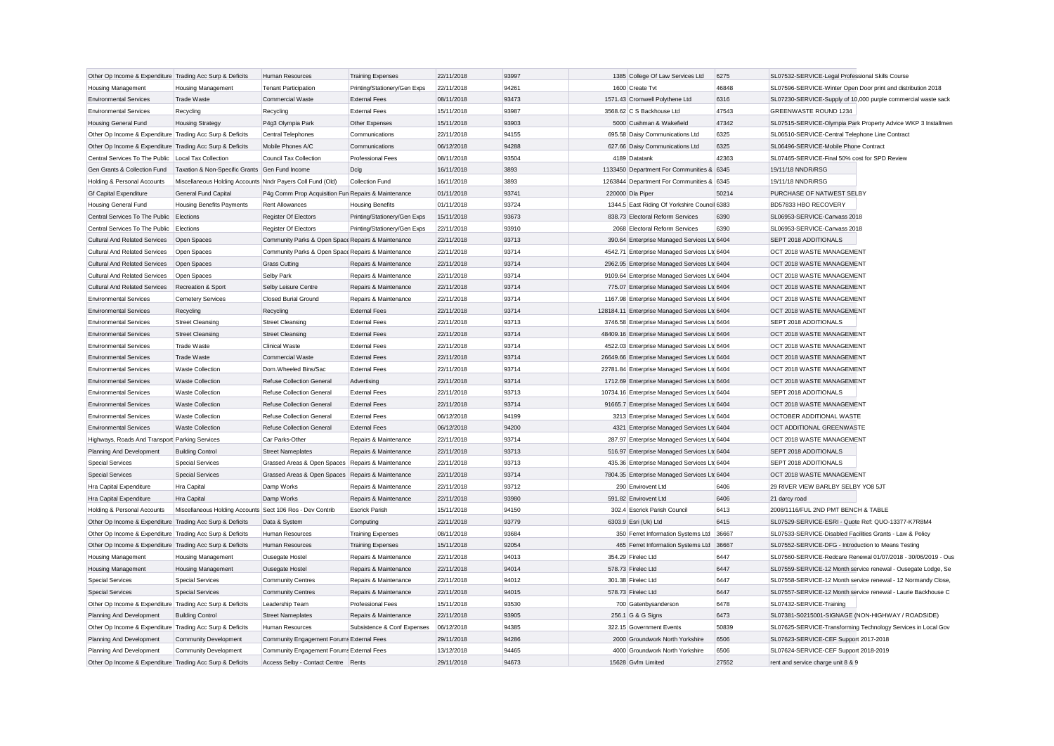| Other Op Income & Expenditure Trading Acc Surp & Deficits |                                                            | Human Resources                                     | <b>Training Expenses</b>     | 22/11/2018 | 93997 | 1385 College Of Law Services Ltd               | 6275  | SL07532-SERVICE-Legal Professional Skills Course              |
|-----------------------------------------------------------|------------------------------------------------------------|-----------------------------------------------------|------------------------------|------------|-------|------------------------------------------------|-------|---------------------------------------------------------------|
| Housing Management                                        | <b>Housing Management</b>                                  | <b>Tenant Participation</b>                         | Printing/Stationery/Gen Exps | 22/11/2018 | 94261 | 1600 Create Tvt                                | 46848 | SL07596-SERVICE-Winter Open Door print and distribution 2018  |
| <b>Environmental Services</b>                             | <b>Trade Waste</b>                                         | <b>Commercial Waste</b>                             | <b>External Fees</b>         | 08/11/2018 | 93473 | 1571.43 Cromwell Polythene Ltd                 | 6316  | SL07230-SERVICE-Supply of 10,000 purple commercial waste sack |
| <b>Environmental Services</b>                             | Recycling                                                  | Recycling                                           | <b>External Fees</b>         | 15/11/2018 | 93987 | 3568.62 C S Backhouse Ltd                      | 47543 | <b>GREENWASTE ROUND 1234</b>                                  |
| Housing General Fund                                      | <b>Housing Strategy</b>                                    | P4g3 Olympia Park                                   | Other Expenses               | 15/11/2018 | 93903 | 5000 Cushman & Wakefield                       | 47342 | SL07515-SERVICE-Olympia Park Property Advice WKP 3 Installmen |
| Other Op Income & Expenditure Trading Acc Surp & Deficits |                                                            | Central Telephones                                  | Communications               | 22/11/2018 | 94155 | 695.58 Daisy Communications Ltd                | 6325  | SL06510-SERVICE-Central Telephone Line Contract               |
| Other Op Income & Expenditure Trading Acc Surp & Deficits |                                                            | Mobile Phones A/C                                   | Communications               | 06/12/2018 | 94288 | 627.66 Daisy Communications Ltd                | 6325  | SL06496-SERVICE-Mobile Phone Contract                         |
| Central Services To The Public                            | Local Tax Collection                                       | Council Tax Collection                              | <b>Professional Fees</b>     | 08/11/2018 | 93504 | 4189 Datatank                                  | 42363 | SL07465-SERVICE-Final 50% cost for SPD Review                 |
| Gen Grants & Collection Fund                              | Taxation & Non-Specific Grants Gen Fund Income             |                                                     | Dclg                         | 16/11/2018 | 3893  | 1133450 Department For Communities & 6345      |       | 19/11/18 NNDR/RSG                                             |
| Holding & Personal Accounts                               | Miscellaneous Holding Accounts Nndr Payers Coll Fund (Old) |                                                     | <b>Collection Fund</b>       | 16/11/2018 | 3893  | 1263844 Department For Communities & 6345      |       | 19/11/18 NNDR/RSG                                             |
| <b>Gf Capital Expenditure</b>                             | <b>General Fund Capital</b>                                | P4g Comm Prop Acquisition Fun Repairs & Maintenance |                              | 01/11/2018 | 93741 | 220000 Dla Piper                               | 50214 | PURCHASE OF NATWEST SELBY                                     |
| Housing General Fund                                      | <b>Housing Benefits Payments</b>                           | <b>Rent Allowances</b>                              | <b>Housing Benefits</b>      | 01/11/2018 | 93724 | 1344.5 East Riding Of Yorkshire Council 6383   |       | BD57833 HBO RECOVERY                                          |
| Central Services To The Public                            | Elections                                                  | Register Of Electors                                | Printing/Stationery/Gen Exps | 15/11/2018 | 93673 | 838.73 Electoral Reform Services               | 6390  | SL06953-SERVICE-Canvass 2018                                  |
| Central Services To The Public                            | Elections                                                  | Register Of Electors                                | Printing/Stationery/Gen Exps | 22/11/2018 | 93910 | 2068 Electoral Reform Services                 | 6390  | SL06953-SERVICE-Canvass 2018                                  |
| <b>Cultural And Related Services</b>                      | Open Spaces                                                | Community Parks & Open Space Repairs & Maintenance  |                              | 22/11/2018 | 93713 | 390.64 Enterprise Managed Services Ltc 6404    |       | SEPT 2018 ADDITIONALS                                         |
| <b>Cultural And Related Services</b>                      | Open Spaces                                                | Community Parks & Open Space Repairs & Maintenance  |                              | 22/11/2018 | 93714 | 4542.71 Enterprise Managed Services Ltd 6404   |       | OCT 2018 WASTE MANAGEMENT                                     |
| <b>Cultural And Related Services</b>                      | Open Spaces                                                | <b>Grass Cutting</b>                                | Repairs & Maintenance        | 22/11/2018 | 93714 | 2962.95 Enterprise Managed Services Ltc 6404   |       | OCT 2018 WASTE MANAGEMENT                                     |
| <b>Cultural And Related Services</b>                      | Open Spaces                                                | <b>Selby Park</b>                                   | Repairs & Maintenance        | 22/11/2018 | 93714 | 9109.64 Enterprise Managed Services Ltd 6404   |       | OCT 2018 WASTE MANAGEMENT                                     |
| <b>Cultural And Related Services</b>                      | Recreation & Sport                                         | Selby Leisure Centre                                | Repairs & Maintenance        | 22/11/2018 | 93714 | 775.07 Enterprise Managed Services Ltd 6404    |       | OCT 2018 WASTE MANAGEMENT                                     |
| <b>Environmental Services</b>                             | <b>Cemetery Services</b>                                   | Closed Burial Ground                                | Repairs & Maintenance        | 22/11/2018 | 93714 | 1167.98 Enterprise Managed Services Ltd 6404   |       | OCT 2018 WASTE MANAGEMENT                                     |
| <b>Environmental Services</b>                             | Recycling                                                  | Recycling                                           | <b>External Fees</b>         | 22/11/2018 | 93714 | 128184.11 Enterprise Managed Services Ltd 6404 |       | OCT 2018 WASTE MANAGEMENT                                     |
| <b>Environmental Services</b>                             | <b>Street Cleansing</b>                                    | <b>Street Cleansing</b>                             | <b>External Fees</b>         | 22/11/2018 | 93713 | 3746.58 Enterprise Managed Services Ltd 6404   |       | SEPT 2018 ADDITIONALS                                         |
| <b>Environmental Services</b>                             | <b>Street Cleansing</b>                                    | <b>Street Cleansing</b>                             | <b>External Fees</b>         | 22/11/2018 | 93714 | 48409.16 Enterprise Managed Services Ltd 6404  |       | OCT 2018 WASTE MANAGEMENT                                     |
| <b>Environmental Services</b>                             | Trade Waste                                                | <b>Clinical Waste</b>                               | <b>External Fees</b>         | 22/11/2018 | 93714 | 4522.03 Enterprise Managed Services Ltd 6404   |       | OCT 2018 WASTE MANAGEMENT                                     |
| <b>Environmental Services</b>                             | <b>Trade Waste</b>                                         | <b>Commercial Waste</b>                             | <b>External Fees</b>         | 22/11/2018 | 93714 | 26649.66 Enterprise Managed Services Ltc 6404  |       | OCT 2018 WASTE MANAGEMENT                                     |
| <b>Environmental Services</b>                             | <b>Waste Collection</b>                                    | Dom.Wheeled Bins/Sac                                | <b>External Fees</b>         | 22/11/2018 | 93714 | 22781.84 Enterprise Managed Services Ltd 6404  |       | OCT 2018 WASTE MANAGEMENT                                     |
| <b>Environmental Services</b>                             | <b>Waste Collection</b>                                    | Refuse Collection General                           | Advertising                  | 22/11/2018 | 93714 | 1712.69 Enterprise Managed Services Ltc 6404   |       | OCT 2018 WASTE MANAGEMENT                                     |
| <b>Environmental Services</b>                             | Waste Collection                                           | <b>Refuse Collection General</b>                    | <b>External Fees</b>         | 22/11/2018 | 93713 | 10734.16 Enterprise Managed Services Ltd 6404  |       | SEPT 2018 ADDITIONALS                                         |
| <b>Environmental Services</b>                             | <b>Waste Collection</b>                                    | <b>Refuse Collection General</b>                    | <b>External Fees</b>         | 22/11/2018 | 93714 | 91665.7 Enterprise Managed Services Ltc 6404   |       | OCT 2018 WASTE MANAGEMENT                                     |
| <b>Environmental Services</b>                             | Waste Collection                                           | <b>Refuse Collection General</b>                    | <b>External Fees</b>         | 06/12/2018 | 94199 | 3213 Enterprise Managed Services Ltd 6404      |       | OCTOBER ADDITIONAL WASTE                                      |
| <b>Environmental Services</b>                             | <b>Waste Collection</b>                                    | <b>Refuse Collection General</b>                    | <b>External Fees</b>         | 06/12/2018 | 94200 | 4321 Enterprise Managed Services Ltc 6404      |       | OCT ADDITIONAL GREENWASTE                                     |
| Highways, Roads And Transport Parking Services            |                                                            | Car Parks-Other                                     | Repairs & Maintenance        | 22/11/2018 | 93714 | 287.97 Enterprise Managed Services Ltd 6404    |       | OCT 2018 WASTE MANAGEMENT                                     |
| Planning And Development                                  | <b>Building Control</b>                                    | <b>Street Nameplates</b>                            | Repairs & Maintenance        | 22/11/2018 | 93713 | 516.97 Enterprise Managed Services Ltc 6404    |       | SEPT 2018 ADDITIONALS                                         |
| <b>Special Services</b>                                   | <b>Special Services</b>                                    | Grassed Areas & Open Spaces Repairs & Maintenance   |                              | 22/11/2018 | 93713 | 435.36 Enterprise Managed Services Ltd 6404    |       | SEPT 2018 ADDITIONALS                                         |
| <b>Special Services</b>                                   | <b>Special Services</b>                                    | Grassed Areas & Open Spaces Repairs & Maintenance   |                              | 22/11/2018 | 93714 | 7804.35 Enterprise Managed Services Ltd 6404   |       | OCT 2018 WASTE MANAGEMENT                                     |
| Hra Capital Expenditure                                   | Hra Capital                                                | Damp Works                                          | Repairs & Maintenance        | 22/11/2018 | 93712 | 290 Envirovent Ltd                             | 6406  | 29 RIVER VIEW BARLBY SELBY YO8 5JT                            |
| Hra Capital Expenditure                                   | Hra Capital                                                | Damp Works                                          | Repairs & Maintenance        | 22/11/2018 | 93980 | 591.82 Envirovent Ltd                          | 6406  | 21 darcy road                                                 |
| Holding & Personal Accounts                               | Miscellaneous Holding Accounts Sect 106 Ros - Dev Contrib  |                                                     | <b>Escrick Parish</b>        | 15/11/2018 | 94150 | 302.4 Escrick Parish Council                   | 6413  | 2008/1116/FUL 2ND PMT BENCH & TABLE                           |
| Other Op Income & Expenditure Trading Acc Surp & Deficits |                                                            | Data & System                                       | Computing                    | 22/11/2018 | 93779 | 6303.9 Esri (Uk) Ltd                           | 6415  | SL07529-SERVICE-ESRI - Quote Ref: QUO-13377-K7R8M4            |
| Other Op Income & Expenditure Trading Acc Surp & Deficits |                                                            | Human Resources                                     | <b>Training Expenses</b>     | 08/11/2018 | 93684 | 350 Ferret Information Systems Ltd 36667       |       | SL07533-SERVICE-Disabled Facilities Grants - Law & Policy     |
| Other Op Income & Expenditure Trading Acc Surp & Deficits |                                                            | Human Resources                                     | <b>Training Expenses</b>     | 15/11/2018 | 92054 | 465 Ferret Information Systems Ltd 36667       |       | SL07552-SERVICE-DFG - Introduction to Means Testing           |
| <b>Housing Management</b>                                 | Housing Management                                         | Ousegate Hostel                                     | Repairs & Maintenance        | 22/11/2018 | 94013 | 354.29 Firelec Ltd                             | 6447  | SL07560-SERVICE-Redcare Renewal 01/07/2018 - 30/06/2019 - Ous |
| <b>Housing Management</b>                                 | <b>Housing Management</b>                                  | Ousegate Hostel                                     | Repairs & Maintenance        | 22/11/2018 | 94014 | 578.73 Firelec Ltd                             | 6447  | SL07559-SERVICE-12 Month service renewal - Ousegate Lodge, Se |
| <b>Special Services</b>                                   | <b>Special Services</b>                                    | <b>Community Centres</b>                            | Repairs & Maintenance        | 22/11/2018 | 94012 | 301.38 Firelec Ltd                             | 6447  | SL07558-SERVICE-12 Month service renewal - 12 Normandy Close  |
| <b>Special Services</b>                                   | <b>Special Services</b>                                    | <b>Community Centres</b>                            | Repairs & Maintenance        | 22/11/2018 | 94015 | 578.73 Firelec Ltd                             | 6447  | SL07557-SERVICE-12 Month service renewal - Laurie Backhouse C |
| Other Op Income & Expenditure Trading Acc Surp & Deficits |                                                            | Leadership Team                                     | Professional Fees            | 15/11/2018 | 93530 | 700 Gatenbysanderson                           | 6478  | SL07432-SERVICE-Training                                      |
| Planning And Development                                  | <b>Building Control</b>                                    | <b>Street Nameplates</b>                            | Repairs & Maintenance        | 22/11/2018 | 93905 | 256.1 G & G Signs                              | 6473  | SL07381-S0215001-SIGNAGE (NON-HIGHWAY / ROADSIDE)             |
| Other Op Income & Expenditure Trading Acc Surp & Deficits |                                                            | Human Resources                                     | Subsistence & Conf Expenses  | 06/12/2018 | 94385 | 322.15 Government Events                       | 50839 | SL07625-SERVICE-Transforming Technology Services in Local Gov |
| Planning And Development                                  | <b>Community Development</b>                               | Community Engagement Forums External Fees           |                              | 29/11/2018 | 94286 | 2000 Groundwork North Yorkshire                | 6506  | SL07623-SERVICE-CEF Support 2017-2018                         |
| Planning And Development                                  | <b>Community Development</b>                               | Community Engagement Forums External Fees           |                              | 13/12/2018 | 94465 | 4000 Groundwork North Yorkshire                | 6506  | SL07624-SERVICE-CEF Support 2018-2019                         |
| Other Op Income & Expenditure Trading Acc Surp & Deficits |                                                            | Access Selby - Contact Centre Rents                 |                              | 29/11/2018 | 94673 | 15628 Gvfm Limited                             | 27552 | rent and service charge unit 8 & 9                            |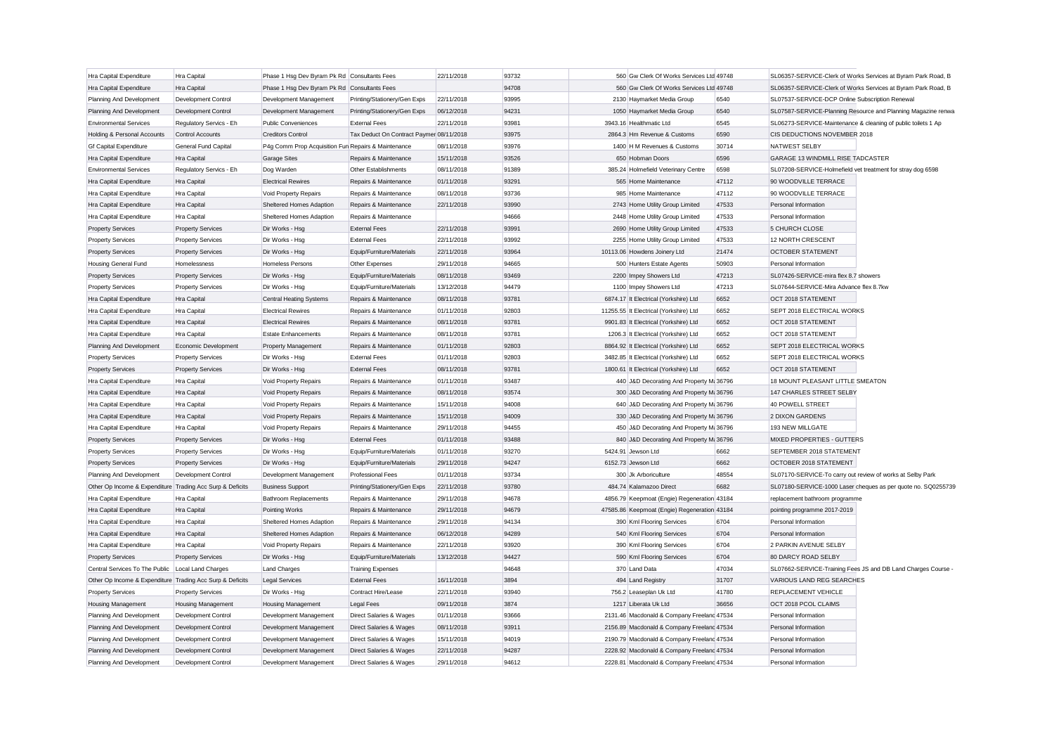| Hra Capital Expenditure                                   | Hra Capital              | Phase 1 Hsg Dev Byram Pk Rd Consultants Fees        |                                          | 22/11/2018 | 93732 | 560 Gw Clerk Of Works Services Ltd 49748     |       |                                                               | SL06357-SERVICE-Clerk of Works Services at Byram Park Road, B |
|-----------------------------------------------------------|--------------------------|-----------------------------------------------------|------------------------------------------|------------|-------|----------------------------------------------|-------|---------------------------------------------------------------|---------------------------------------------------------------|
| Hra Capital Expenditure                                   | Hra Capital              | Phase 1 Hsg Dev Byram Pk Rd Consultants Fees        |                                          |            | 94708 | 560 Gw Clerk Of Works Services Ltd 49748     |       |                                                               | SL06357-SERVICE-Clerk of Works Services at Byram Park Road, B |
| Planning And Development                                  | Development Control      | Development Management                              | Printing/Stationery/Gen Exps             | 22/11/2018 | 93995 | 2130 Haymarket Media Group                   | 6540  | SL07537-SERVICE-DCP Online Subscription Renewal               |                                                               |
| Planning And Development                                  | Development Control      | Development Management                              | Printing/Stationery/Gen Exps             | 06/12/2018 | 94231 | 1050 Haymarket Media Group                   | 6540  |                                                               | SL07587-SERVICE-Planning Resource and Planning Magazine renwa |
| <b>Environmental Services</b>                             | Regulatory Servics - Eh  | <b>Public Conveniences</b>                          | <b>External Fees</b>                     | 22/11/2018 | 93981 | 3943.16 Healthmatic Ltd                      | 6545  | SL06273-SERVICE-Maintenance & cleaning of public toilets 1 Ap |                                                               |
| Holding & Personal Accounts                               | Control Accounts         | <b>Creditors Control</b>                            | Tax Deduct On Contract Paymer 08/11/2018 |            | 93975 | 2864.3 Hm Revenue & Customs                  | 6590  | CIS DEDUCTIONS NOVEMBER 2018                                  |                                                               |
| <b>Gf Capital Expenditure</b>                             | General Fund Capital     | P4g Comm Prop Acquisition Fun Repairs & Maintenance |                                          | 08/11/2018 | 93976 | 1400 H M Revenues & Customs                  | 30714 | NATWEST SELBY                                                 |                                                               |
| Hra Capital Expenditure                                   | Hra Capital              | Garage Sites                                        | Repairs & Maintenance                    | 15/11/2018 | 93526 | 650 Hobman Doors                             | 6596  | GARAGE 13 WINDMILL RISE TADCASTER                             |                                                               |
| <b>Environmental Services</b>                             | Regulatory Servics - Eh  | Dog Warden                                          | Other Establishments                     | 08/11/2018 | 91389 | 385.24 Holmefield Veterinary Centre          | 6598  | SL07208-SERVICE-Holmefield vet treatment for stray dog 6598   |                                                               |
| Hra Capital Expenditure                                   | Hra Capital              | <b>Electrical Rewires</b>                           | Repairs & Maintenance                    | 01/11/2018 | 93291 | 565 Home Maintenance                         | 47112 | 90 WOODVILLE TERRACE                                          |                                                               |
| Hra Capital Expenditure                                   | Hra Capital              | Void Property Repairs                               | Repairs & Maintenance                    | 08/11/2018 | 93736 | 985 Home Maintenance                         | 47112 | 90 WOODVILLE TERRACE                                          |                                                               |
| Hra Capital Expenditure                                   | Hra Capital              | Sheltered Homes Adaption                            | Repairs & Maintenance                    | 22/11/2018 | 93990 | 2743 Home Utility Group Limited              | 47533 | Personal Information                                          |                                                               |
| Hra Capital Expenditure                                   | Hra Capital              | Sheltered Homes Adaption                            | Repairs & Maintenance                    |            | 94666 | 2448 Home Utility Group Limited              | 47533 | Personal Information                                          |                                                               |
| <b>Property Services</b>                                  | <b>Property Services</b> | Dir Works - Hsg                                     | <b>External Fees</b>                     | 22/11/2018 | 93991 | 2690 Home Utility Group Limited              | 47533 | 5 CHURCH CLOSE                                                |                                                               |
| <b>Property Services</b>                                  | <b>Property Services</b> | Dir Works - Hsg                                     | <b>External Fees</b>                     | 22/11/2018 | 93992 | 2255 Home Utility Group Limited              | 47533 | <b>12 NORTH CRESCENT</b>                                      |                                                               |
| <b>Property Services</b>                                  | <b>Property Services</b> | Dir Works - Hsg                                     | Equip/Furniture/Materials                | 22/11/2018 | 93964 | 10113.06 Howdens Joinery Ltd                 | 21474 | <b>OCTOBER STATEMENT</b>                                      |                                                               |
| <b>Housing General Fund</b>                               | Homelessness             | <b>Homeless Persons</b>                             | Other Expenses                           | 29/11/2018 | 94665 | 500 Hunters Estate Agents                    | 50903 | Personal Information                                          |                                                               |
| <b>Property Services</b>                                  | <b>Property Services</b> | Dir Works - Hsg                                     | Equip/Furniture/Materials                | 08/11/2018 | 93469 | 2200 Impey Showers Ltd                       | 47213 | SL07426-SERVICE-mira flex 8.7 showers                         |                                                               |
| <b>Property Services</b>                                  | <b>Property Services</b> | Dir Works - Hsg                                     | Equip/Furniture/Materials                | 13/12/2018 | 94479 | 1100 Impey Showers Ltd                       | 47213 | SL07644-SERVICE-Mira Advance flex 8.7kw                       |                                                               |
| Hra Capital Expenditure                                   | Hra Capital              | <b>Central Heating Systems</b>                      | Repairs & Maintenance                    | 08/11/2018 | 93781 | 6874.17 It Electrical (Yorkshire) Ltd        | 6652  | OCT 2018 STATEMENT                                            |                                                               |
| Hra Capital Expenditure                                   | Hra Capital              | <b>Electrical Rewires</b>                           | Repairs & Maintenance                    | 01/11/2018 | 92803 | 11255.55 It Electrical (Yorkshire) Ltd       | 6652  | SEPT 2018 ELECTRICAL WORKS                                    |                                                               |
| Hra Capital Expenditure                                   | Hra Capital              | <b>Electrical Rewires</b>                           | Repairs & Maintenance                    | 08/11/2018 | 93781 | 9901.83 It Electrical (Yorkshire) Ltd        | 6652  | OCT 2018 STATEMENT                                            |                                                               |
| Hra Capital Expenditure                                   | Hra Capital              | <b>Estate Enhancements</b>                          | Repairs & Maintenance                    | 08/11/2018 | 93781 | 1206.3 It Electrical (Yorkshire) Ltd         | 6652  | OCT 2018 STATEMENT                                            |                                                               |
| Planning And Development                                  | Economic Development     | Property Management                                 | Repairs & Maintenance                    | 01/11/2018 | 92803 | 8864.92 It Electrical (Yorkshire) Ltd        | 6652  | SEPT 2018 ELECTRICAL WORKS                                    |                                                               |
| <b>Property Services</b>                                  | <b>Property Services</b> | Dir Works - Hsg                                     | <b>External Fees</b>                     | 01/11/2018 | 92803 | 3482.85 It Electrical (Yorkshire) Ltd        | 6652  | SEPT 2018 ELECTRICAL WORKS                                    |                                                               |
| <b>Property Services</b>                                  | <b>Property Services</b> | Dir Works - Hsg                                     | <b>External Fees</b>                     | 08/11/2018 | 93781 | 1800.61 It Electrical (Yorkshire) Ltd        | 6652  | OCT 2018 STATEMENT                                            |                                                               |
| Hra Capital Expenditure                                   | Hra Capital              | Void Property Repairs                               | Repairs & Maintenance                    | 01/11/2018 | 93487 | 440 J&D Decorating And Property M: 36796     |       | 18 MOUNT PLEASANT LITTLE SMEATON                              |                                                               |
| Hra Capital Expenditure                                   | Hra Capital              | Void Property Repairs                               | Repairs & Maintenance                    | 08/11/2018 | 93574 | 300 J&D Decorating And Property M: 36796     |       | 147 CHARLES STREET SELBY                                      |                                                               |
| Hra Capital Expenditure                                   | Hra Capital              | Void Property Repairs                               | Repairs & Maintenance                    | 15/11/2018 | 94008 | 640 J&D Decorating And Property M: 36796     |       | 40 POWELL STREET                                              |                                                               |
| Hra Capital Expenditure                                   | Hra Capital              | Void Property Repairs                               | Repairs & Maintenance                    | 15/11/2018 | 94009 | 330 J&D Decorating And Property M: 36796     |       | 2 DIXON GARDENS                                               |                                                               |
| Hra Capital Expenditure                                   | Hra Capital              | Void Property Repairs                               | Repairs & Maintenance                    | 29/11/2018 | 94455 | 450 J&D Decorating And Property M: 36796     |       | 193 NEW MILLGATE                                              |                                                               |
| <b>Property Services</b>                                  | <b>Property Services</b> | Dir Works - Hsg                                     | <b>External Fees</b>                     | 01/11/2018 | 93488 | 840 J&D Decorating And Property M: 36796     |       | MIXED PROPERTIES - GUTTERS                                    |                                                               |
| <b>Property Services</b>                                  | <b>Property Services</b> | Dir Works - Hsg                                     | Equip/Furniture/Materials                | 01/11/2018 | 93270 | 5424.91 Jewson Ltd                           | 6662  | SEPTEMBER 2018 STATEMENT                                      |                                                               |
| <b>Property Services</b>                                  | <b>Property Services</b> | Dir Works - Hsg                                     | Equip/Furniture/Materials                | 29/11/2018 | 94247 | 6152.73 Jewson Ltd                           | 6662  | OCTOBER 2018 STATEMENT                                        |                                                               |
| Planning And Development                                  | Development Control      | Development Management                              | Professional Fees                        | 01/11/2018 | 93734 | 300 Jk Arboriculture                         | 48554 | SL07170-SERVICE-To carry out review of works at Selby Park    |                                                               |
| Other Op Income & Expenditure Trading Acc Surp & Deficits |                          | <b>Business Support</b>                             | Printing/Stationery/Gen Exps             | 22/11/2018 | 93780 | 484.74 Kalamazoo Direct                      | 6682  |                                                               | SL07180-SERVICE-1000 Laser cheques as per quote no. SQ0255739 |
| Hra Capital Expenditure                                   | Hra Capital              | <b>Bathroom Replacements</b>                        | Repairs & Maintenance                    | 29/11/2018 | 94678 | 4856.79 Keepmoat (Engie) Regeneration 43184  |       | replacement bathroom programme                                |                                                               |
| Hra Capital Expenditure                                   | Hra Capital              | Pointing Works                                      | Repairs & Maintenance                    | 29/11/2018 | 94679 | 47585.86 Keepmoat (Engie) Regeneration 43184 |       | pointing programme 2017-2019                                  |                                                               |
| Hra Capital Expenditure                                   | Hra Capital              | Sheltered Homes Adaption                            | Repairs & Maintenance                    | 29/11/2018 | 94134 | 390 Kml Flooring Services                    | 6704  | Personal Information                                          |                                                               |
| Hra Capital Expenditure                                   | Hra Capital              | Sheltered Homes Adaption                            | Repairs & Maintenance                    | 06/12/2018 | 94289 | 540 Kml Flooring Services                    | 6704  | Personal Information                                          |                                                               |
| Hra Capital Expenditure                                   | Hra Capital              | Void Property Repairs                               | Repairs & Maintenance                    | 22/11/2018 | 93920 | 390 Kml Flooring Services                    | 6704  | 2 PARKIN AVENUE SELBY                                         |                                                               |
| <b>Property Services</b>                                  | <b>Property Services</b> | Dir Works - Hsg                                     | Equip/Furniture/Materials                | 13/12/2018 | 94427 | 590 Kml Flooring Services                    | 6704  | 80 DARCY ROAD SELBY                                           |                                                               |
| Central Services To The Public                            | Local Land Charges       | <b>Land Charges</b>                                 | <b>Training Expenses</b>                 |            | 94648 | 370 Land Data                                | 47034 |                                                               | SL07662-SERVICE-Training Fees JS and DB Land Charges Course   |
| Other Op Income & Expenditure Trading Acc Surp & Deficits |                          | <b>Legal Services</b>                               | <b>External Fees</b>                     | 16/11/2018 | 3894  | 494 Land Registry                            | 31707 | VARIOUS LAND REG SEARCHES                                     |                                                               |
| <b>Property Services</b>                                  | <b>Property Services</b> | Dir Works - Hsg                                     | Contract Hire/Lease                      | 22/11/2018 | 93940 | 756.2 Leaseplan Uk Ltd                       | 41780 | REPLACEMENT VEHICLE                                           |                                                               |
| <b>Housing Management</b>                                 | Housing Management       | Housing Management                                  | <b>Legal Fees</b>                        | 09/11/2018 | 3874  | 1217 Liberata Uk Ltd                         | 36656 | OCT 2018 PCOL CLAIMS                                          |                                                               |
| Planning And Development                                  | Development Control      | Development Management                              | Direct Salaries & Wages                  | 01/11/2018 | 93666 | 2131.46 Macdonald & Company Freeland 47534   |       | Personal Information                                          |                                                               |
| Planning And Development                                  | Development Control      | Development Management                              | Direct Salaries & Wages                  | 08/11/2018 | 93911 | 2156.89 Macdonald & Company Freeland 47534   |       | Personal Information                                          |                                                               |
| Planning And Development                                  | Development Control      | Development Management                              | Direct Salaries & Wages                  | 15/11/2018 | 94019 | 2190.79 Macdonald & Company Freeland 47534   |       | Personal Information                                          |                                                               |
| Planning And Development                                  | Development Control      | Development Management                              | Direct Salaries & Wages                  | 22/11/2018 | 94287 | 2228.92 Macdonald & Company Freelanc 47534   |       | Personal Information                                          |                                                               |
| Planning And Development                                  | Development Control      | Development Management                              | Direct Salaries & Wages                  | 29/11/2018 | 94612 | 2228.81 Macdonald & Company Freeland 47534   |       | Personal Information                                          |                                                               |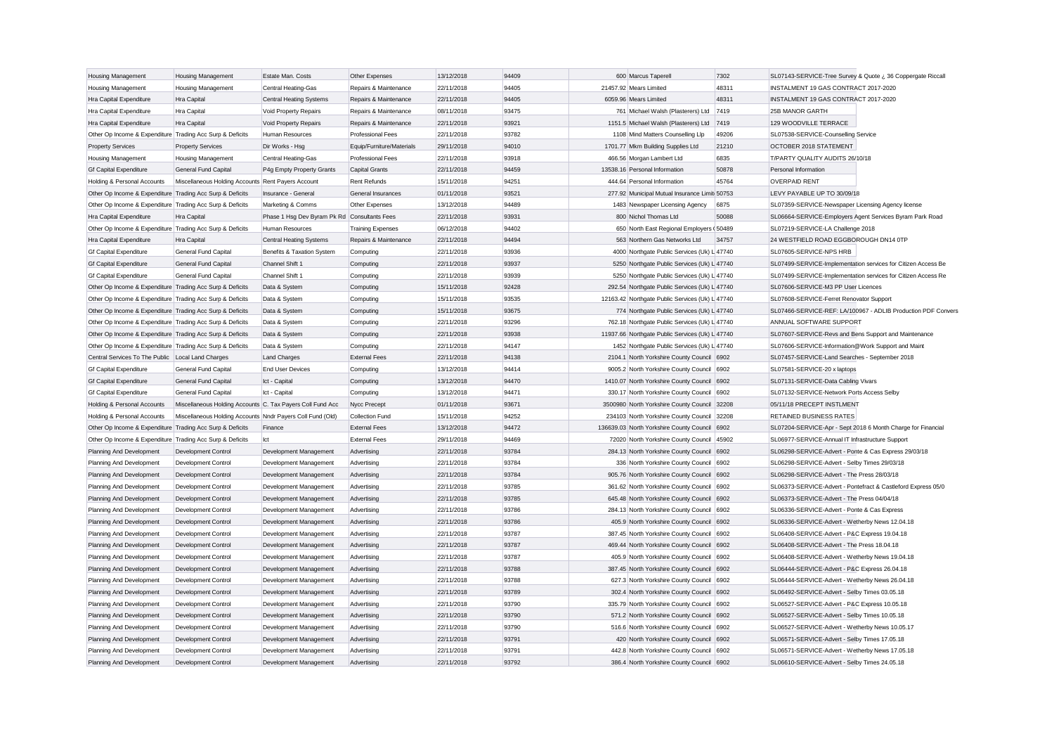| <b>Housing Management</b>                                 | <b>Housing Management</b>                                  | Estate Man. Costs                            | Other Expenses            | 13/12/2018 | 94409 | 600 Marcus Taperell                             | 7302  |                                                              | SL07143-SERVICE-Tree Survey & Quote ¿ 36 Coppergate Riccall   |
|-----------------------------------------------------------|------------------------------------------------------------|----------------------------------------------|---------------------------|------------|-------|-------------------------------------------------|-------|--------------------------------------------------------------|---------------------------------------------------------------|
| <b>Housing Management</b>                                 | <b>Housing Management</b>                                  | Central Heating-Gas                          | Repairs & Maintenance     | 22/11/2018 | 94405 | 21457.92 Mears Limited                          | 48311 | INSTALMENT 19 GAS CONTRACT 2017-2020                         |                                                               |
| Hra Capital Expenditure                                   | Hra Capital                                                | <b>Central Heating Systems</b>               | Repairs & Maintenance     | 22/11/2018 | 94405 | 6059.96 Mears Limited                           | 48311 | INSTALMENT 19 GAS CONTRACT 2017-2020                         |                                                               |
| Hra Capital Expenditure                                   | Hra Capital                                                | Void Property Repairs                        | Repairs & Maintenance     | 08/11/2018 | 93475 | 761 Michael Walsh (Plasterers) Ltd 7419         |       | <b>25B MANOR GARTH</b>                                       |                                                               |
| Hra Capital Expenditure                                   | Hra Capital                                                | Void Property Repairs                        | Repairs & Maintenance     | 22/11/2018 | 93921 | 1151.5 Michael Walsh (Plasterers) Ltd           | 7419  | 129 WOODVILLE TERRACE                                        |                                                               |
| Other Op Income & Expenditure Trading Acc Surp & Deficits |                                                            | Human Resources                              | <b>Professional Fees</b>  | 22/11/2018 | 93782 | 1108 Mind Matters Counselling Llp               | 49206 | SL07538-SERVICE-Counselling Service                          |                                                               |
| <b>Property Services</b>                                  | <b>Property Services</b>                                   | Dir Works - Hsg                              | Equip/Furniture/Materials | 29/11/2018 | 94010 | 1701.77 Mkm Building Supplies Ltd               | 21210 | OCTOBER 2018 STATEMENT                                       |                                                               |
| <b>Housing Management</b>                                 | <b>Housing Management</b>                                  | Central Heating-Gas                          | <b>Professional Fees</b>  | 22/11/2018 | 93918 | 466.56 Morgan Lambert Ltd                       | 6835  | T/PARTY QUALITY AUDITS 26/10/18                              |                                                               |
| <b>Gf Capital Expenditure</b>                             | <b>General Fund Capital</b>                                | P4g Empty Property Grants                    | <b>Capital Grants</b>     | 22/11/2018 | 94459 | 13538.16 Personal Information                   | 50878 | Personal Information                                         |                                                               |
| Holding & Personal Accounts                               | Miscellaneous Holding Accounts Rent Payers Account         |                                              | Rent Refunds              | 15/11/2018 | 94251 | 444.64 Personal Information                     | 45764 | <b>OVERPAID RENT</b>                                         |                                                               |
| Other Op Income & Expenditure Trading Acc Surp & Deficits |                                                            | Insurance - General                          | General Insurances        | 01/11/2018 | 93521 | 277.92 Municipal Mutual Insurance Limit 50753   |       | LEVY PAYABLE UP TO 30/09/18                                  |                                                               |
| Other Op Income & Expenditure Trading Acc Surp & Deficits |                                                            | Marketing & Comms                            | Other Expenses            | 13/12/2018 | 94489 | 1483 Newspaper Licensing Agency                 | 6875  | SL07359-SERVICE-Newspaper Licensing Agency license           |                                                               |
| Hra Capital Expenditure                                   | Hra Capital                                                | Phase 1 Hsg Dev Byram Pk Rd Consultants Fees |                           | 22/11/2018 | 93931 | 800 Nichol Thomas Ltd                           | 50088 | SL06664-SERVICE-Employers Agent Services Byram Park Road     |                                                               |
| Other Op Income & Expenditure Trading Acc Surp & Deficits |                                                            | Human Resources                              | <b>Training Expenses</b>  | 06/12/2018 | 94402 | 650 North East Regional Employers (50489        |       | SL07219-SERVICE-LA Challenge 2018                            |                                                               |
| Hra Capital Expenditure                                   | Hra Capital                                                | <b>Central Heating Systems</b>               | Repairs & Maintenance     | 22/11/2018 | 94494 | 563 Northern Gas Networks Ltd                   | 34757 | 24 WESTFIELD ROAD EGGBOROUGH DN14 0TP                        |                                                               |
| <b>Gf Capital Expenditure</b>                             | General Fund Capital                                       | Benefits & Taxation System                   | Computing                 | 22/11/2018 | 93936 | 4000 Northgate Public Services (Uk) L 47740     |       | SL07605-SERVICE-NPS HRB                                      |                                                               |
| <b>Gf Capital Expenditure</b>                             | General Fund Capital                                       | Channel Shift 1                              | Computing                 | 22/11/2018 | 93937 | 5250 Northgate Public Services (Uk) L 47740     |       |                                                              | SL07499-SERVICE-Implementation services for Citizen Access Be |
| <b>Gf Capital Expenditure</b>                             | General Fund Capital                                       | Channel Shift 1                              | Computing                 | 22/11/2018 | 93939 | 5250 Northgate Public Services (Uk) L 47740     |       |                                                              | SL07499-SERVICE-Implementation services for Citizen Access Re |
| Other Op Income & Expenditure Trading Acc Surp & Deficits |                                                            | Data & System                                | Computing                 | 15/11/2018 | 92428 | 292.54 Northgate Public Services (Uk) L 47740   |       | SL07606-SERVICE-M3 PP User Licences                          |                                                               |
| Other Op Income & Expenditure Trading Acc Surp & Deficits |                                                            | Data & System                                | Computing                 | 15/11/2018 | 93535 | 12163.42 Northgate Public Services (Uk) L 47740 |       | SL07608-SERVICE-Ferret Renovator Support                     |                                                               |
| Other Op Income & Expenditure Trading Acc Surp & Deficits |                                                            | Data & System                                | Computing                 | 15/11/2018 | 93675 | 774 Northgate Public Services (Uk) L 47740      |       |                                                              | SL07466-SERVICE-REF: LA/100967 - ADLIB Production PDF Convers |
| Other Op Income & Expenditure Trading Acc Surp & Deficits |                                                            | Data & System                                | Computing                 | 22/11/2018 | 93296 | 762.18 Northgate Public Services (Uk) L 47740   |       | ANNUAL SOFTWARE SUPPORT                                      |                                                               |
| Other Op Income & Expenditure Trading Acc Surp & Deficits |                                                            | Data & System                                | Computing                 | 22/11/2018 | 93938 | 11937.66 Northgate Public Services (Uk) L 47740 |       | SL07607-SERVICE-Revs and Bens Support and Maintenance        |                                                               |
| Other Op Income & Expenditure Trading Acc Surp & Deficits |                                                            | Data & System                                | Computing                 | 22/11/2018 | 94147 | 1452 Northgate Public Services (Uk) L 47740     |       | SL07606-SERVICE-Information@Work Support and Maint           |                                                               |
| Central Services To The Public Local Land Charges         |                                                            | <b>Land Charges</b>                          | <b>External Fees</b>      | 22/11/2018 | 94138 | 2104.1 North Yorkshire County Council 6902      |       | SL07457-SERVICE-Land Searches - September 2018               |                                                               |
| <b>Gf Capital Expenditure</b>                             | General Fund Capital                                       | <b>End User Devices</b>                      | Computing                 | 13/12/2018 | 94414 | 9005.2 North Yorkshire County Council 6902      |       | SL07581-SERVICE-20 x laptops                                 |                                                               |
| <b>Gf Capital Expenditure</b>                             | <b>General Fund Capital</b>                                | Ict - Capital                                | Computing                 | 13/12/2018 | 94470 | 1410.07 North Yorkshire County Council 6902     |       | SL07131-SERVICE-Data Cabling Vivars                          |                                                               |
| <b>Gf Capital Expenditure</b>                             | General Fund Capital                                       | Ict - Capital                                | Computing                 | 13/12/2018 | 94471 | 330.17 North Yorkshire County Council 6902      |       | SL07132-SERVICE-Network Ports Access Selby                   |                                                               |
| Holding & Personal Accounts                               | Miscellaneous Holding Accounts C. Tax Payers Coll Fund Acc |                                              | Nycc Precept              | 01/11/2018 | 93671 | 3500980 North Yorkshire County Council 32208    |       | 05/11/18 PRECEPT INSTLMENT                                   |                                                               |
| Holding & Personal Accounts                               | Miscellaneous Holding Accounts Nndr Payers Coll Fund (Old) |                                              | Collection Fund           | 15/11/2018 | 94252 | 234103 North Yorkshire County Council 32208     |       | <b>RETAINED BUSINESS RATES</b>                               |                                                               |
| Other Op Income & Expenditure Trading Acc Surp & Deficits |                                                            | Finance                                      | <b>External Fees</b>      | 13/12/2018 | 94472 | 136639.03 North Yorkshire County Council        | 6902  | SL07204-SERVICE-Apr - Sept 2018 6 Month Charge for Financial |                                                               |
| Other Op Income & Expenditure Trading Acc Surp & Deficits |                                                            | Ict                                          | <b>External Fees</b>      | 29/11/2018 | 94469 | 72020 North Yorkshire County Council 45902      |       | SL06977-SERVICE-Annual IT Infrastructure Support             |                                                               |
| Planning And Development                                  | Development Control                                        | Development Management                       | Advertising               | 22/11/2018 | 93784 | 284.13 North Yorkshire County Council 6902      |       | SL06298-SERVICE-Advert - Ponte & Cas Express 29/03/18        |                                                               |
| Planning And Development                                  | Development Control                                        | Development Management                       | Advertising               | 22/11/2018 | 93784 | 336 North Yorkshire County Council 6902         |       | SL06298-SERVICE-Advert - Selby Times 29/03/18                |                                                               |
| Planning And Development                                  | <b>Development Control</b>                                 | Development Management                       | Advertising               | 22/11/2018 | 93784 | 905.76 North Yorkshire County Council 6902      |       | SL06298-SERVICE-Advert - The Press 28/03/18                  |                                                               |
| Planning And Development                                  | Development Control                                        | Development Management                       | Advertising               | 22/11/2018 | 93785 | 361.62 North Yorkshire County Council 6902      |       |                                                              | SL06373-SERVICE-Advert - Pontefract & Castleford Express 05/0 |
| Planning And Development                                  | Development Control                                        | Development Management                       | Advertising               | 22/11/2018 | 93785 | 645.48 North Yorkshire County Council 6902      |       | SL06373-SERVICE-Advert - The Press 04/04/18                  |                                                               |
| Planning And Development                                  | Development Control                                        | Development Management                       | Advertising               | 22/11/2018 | 93786 | 284.13 North Yorkshire County Council 6902      |       | SL06336-SERVICE-Advert - Ponte & Cas Express                 |                                                               |
| Planning And Development                                  | Development Control                                        | Development Management                       | Advertising               | 22/11/2018 | 93786 | 405.9 North Yorkshire County Council 6902       |       | SL06336-SERVICE-Advert - Wetherby News 12.04.18              |                                                               |
| Planning And Development                                  | Development Control                                        | Development Management                       | Advertising               | 22/11/2018 | 93787 | 387.45 North Yorkshire County Council 6902      |       | SL06408-SERVICE-Advert - P&C Express 19.04.18                |                                                               |
| Planning And Development                                  | Development Control                                        | Development Management                       | Advertising               | 22/11/2018 | 93787 | 469.44 North Yorkshire County Council           | 6902  | SL06408-SERVICE-Advert - The Press 18.04.18                  |                                                               |
| Planning And Development                                  | Development Control                                        | Development Management                       | Advertising               | 22/11/2018 | 93787 | 405.9 North Yorkshire County Council 6902       |       | SL06408-SERVICE-Advert - Wetherby News 19.04.18              |                                                               |
|                                                           |                                                            |                                              |                           | 22/11/2018 | 93788 |                                                 |       |                                                              |                                                               |
| Planning And Development                                  | <b>Development Control</b>                                 | Development Management                       | Advertising               |            | 93788 | 387.45 North Yorkshire County Council           | 6902  | SL06444-SERVICE-Advert - P&C Express 26.04.18                |                                                               |
| Planning And Development                                  | Development Control                                        | Development Management                       | Advertising               | 22/11/2018 |       | 627.3 North Yorkshire County Council 6902       |       | SL06444-SERVICE-Advert - Wetherby News 26.04.18              |                                                               |
| Planning And Development                                  | Development Control                                        | Development Management                       | Advertising               | 22/11/2018 | 93789 | 302.4 North Yorkshire County Council 6902       |       | SL06492-SERVICE-Advert - Selby Times 03.05.18                |                                                               |
| Planning And Development                                  | Development Control                                        | Development Management                       | Advertising               | 22/11/2018 | 93790 | 335.79 North Yorkshire County Council 6902      |       | SL06527-SERVICE-Advert - P&C Express 10.05.18                |                                                               |
| Planning And Development                                  | Development Control                                        | Development Management                       | Advertising               | 22/11/2018 | 93790 | 571.2 North Yorkshire County Council            | 6902  | SL06527-SERVICE-Advert - Selby Times 10.05.18                |                                                               |
| Planning And Development                                  | Development Control                                        | Development Management                       | Advertising               | 22/11/2018 | 93790 | 516.6 North Yorkshire County Council            | 6902  | SL06527-SERVICE-Advert - Wetherby News 10.05.17              |                                                               |
| Planning And Development                                  | Development Control                                        | Development Management                       | Advertising               | 22/11/2018 | 93791 | 420 North Yorkshire County Council              | 6902  | SL06571-SERVICE-Advert - Selby Times 17.05.18                |                                                               |
| Planning And Development                                  | Development Control                                        | Development Management                       | Advertising               | 22/11/2018 | 93791 | 442.8 North Yorkshire County Council 6902       |       | SL06571-SERVICE-Advert - Wetherby News 17.05.18              |                                                               |
| Planning And Development                                  | <b>Development Control</b>                                 | Development Management                       | Advertising               | 22/11/2018 | 93792 | 386.4 North Yorkshire County Council 6902       |       | SL06610-SERVICE-Advert - Selby Times 24.05.18                |                                                               |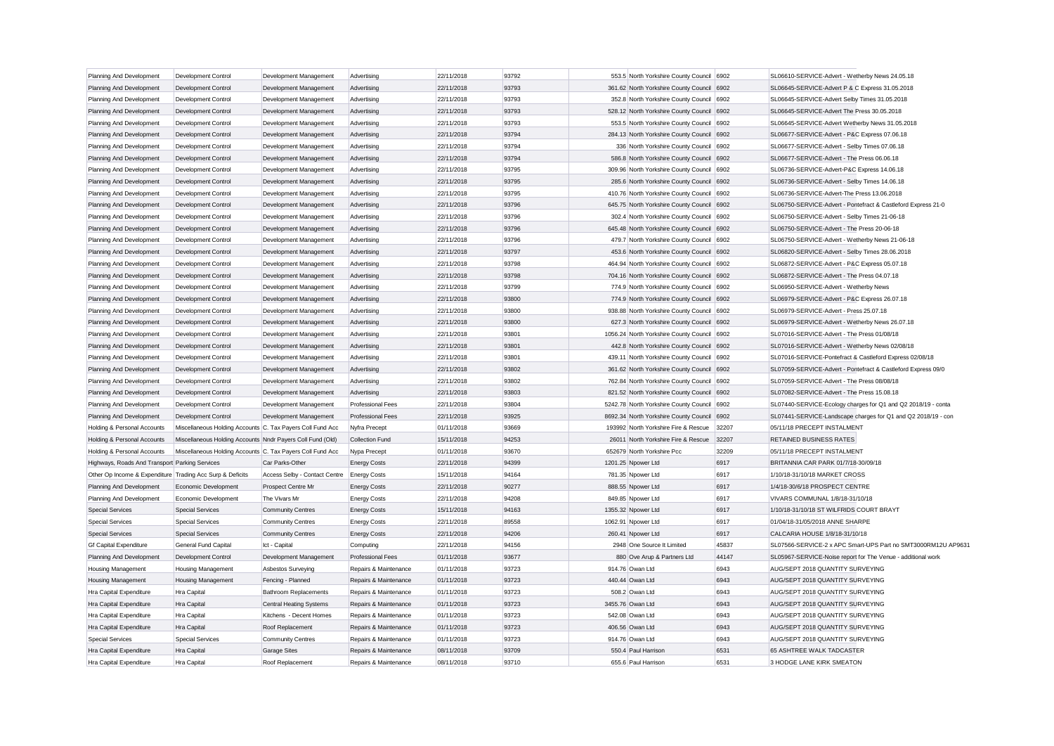| Planning And Development                                  | Development Control                                        | Development Management         | Advertising              | 22/11/2018 | 93792 | 553.5 North Yorkshire County Council 6902   |       | SL06610-SERVICE-Advert - Wetherby News 24.05.18               |
|-----------------------------------------------------------|------------------------------------------------------------|--------------------------------|--------------------------|------------|-------|---------------------------------------------|-------|---------------------------------------------------------------|
| Planning And Development                                  | Development Control                                        | Development Management         | Advertising              | 22/11/2018 | 93793 | 361.62 North Yorkshire County Council 6902  |       | SL06645-SERVICE-Advert P & C Express 31.05.2018               |
| Planning And Development                                  | Development Control                                        | Development Management         | Advertising              | 22/11/2018 | 93793 | 352.8 North Yorkshire County Council 6902   |       | SL06645-SERVICE-Advert Selby Times 31.05.2018                 |
| Planning And Development                                  | <b>Development Control</b>                                 | Development Management         | Advertising              | 22/11/2018 | 93793 | 528.12 North Yorkshire County Council 6902  |       | SL06645-SERVICE-Advert The Press 30.05.2018                   |
| Planning And Development                                  | Development Control                                        | Development Management         | Advertising              | 22/11/2018 | 93793 | 553.5 North Yorkshire County Council 6902   |       | SL06645-SERVICE-Advert Wetherby News 31.05.2018               |
| Planning And Development                                  | <b>Development Control</b>                                 | Development Management         | Advertising              | 22/11/2018 | 93794 | 284.13 North Yorkshire County Council 6902  |       | SL06677-SERVICE-Advert - P&C Express 07.06.18                 |
| Planning And Development                                  | Development Control                                        | Development Management         | Advertising              | 22/11/2018 | 93794 | 336 North Yorkshire County Council          | 6902  | SL06677-SERVICE-Advert - Selby Times 07.06.18                 |
| Planning And Development                                  | Development Control                                        | Development Management         | Advertising              | 22/11/2018 | 93794 | 586.8 North Yorkshire County Council        | 6902  | SL06677-SERVICE-Advert - The Press 06.06.18                   |
| Planning And Development                                  | Development Control                                        | Development Management         | Advertising              | 22/11/2018 | 93795 | 309.96 North Yorkshire County Council       | 6902  | SL06736-SERVICE-Advert-P&C Express 14.06.18                   |
| Planning And Development                                  | Development Control                                        | Development Management         | Advertising              | 22/11/2018 | 93795 | 285.6 North Yorkshire County Council 6902   |       | SL06736-SERVICE-Advert - Selby Times 14.06.18                 |
| Planning And Development                                  | Development Control                                        | Development Management         | Advertising              | 22/11/2018 | 93795 | 410.76 North Yorkshire County Council 6902  |       | SL06736-SERVICE-Advert-The Press 13.06.2018                   |
| Planning And Development                                  | <b>Development Control</b>                                 | Development Management         | Advertising              | 22/11/2018 | 93796 | 645.75 North Yorkshire County Council 6902  |       | SL06750-SERVICE-Advert - Pontefract & Castleford Express 21-0 |
| Planning And Development                                  | Development Control                                        | Development Management         | Advertising              | 22/11/2018 | 93796 | 302.4 North Yorkshire County Council 6902   |       | SL06750-SERVICE-Advert - Selby Times 21-06-18                 |
| Planning And Development                                  | Development Control                                        | Development Management         | Advertising              | 22/11/2018 | 93796 | 645.48 North Yorkshire County Council       | 6902  | SL06750-SERVICE-Advert - The Press 20-06-18                   |
| Planning And Development                                  | Development Control                                        | Development Management         | Advertising              | 22/11/2018 | 93796 | 479.7 North Yorkshire County Council 6902   |       | SL06750-SERVICE-Advert - Wetherby News 21-06-18               |
| Planning And Development                                  | Development Control                                        | Development Management         | Advertising              | 22/11/2018 | 93797 | 453.6 North Yorkshire County Council 6902   |       | SL06820-SERVICE-Advert - Selby Times 28.06.2018               |
| Planning And Development                                  | Development Control                                        | Development Management         | Advertising              | 22/11/2018 | 93798 | 464.94 North Yorkshire County Council 6902  |       | SL06872-SERVICE-Advert - P&C Express 05.07.18                 |
| Planning And Development                                  | Development Control                                        | Development Management         | Advertising              | 22/11/2018 | 93798 | 704.16 North Yorkshire County Council 6902  |       | SL06872-SERVICE-Advert - The Press 04.07.18                   |
| Planning And Development                                  | Development Control                                        | Development Management         | Advertising              | 22/11/2018 | 93799 | 774.9 North Yorkshire County Council 6902   |       | SL06950-SERVICE-Advert - Wetherby News                        |
| Planning And Development                                  | <b>Development Control</b>                                 | Development Management         | Advertising              | 22/11/2018 | 93800 | 774.9 North Yorkshire County Council        | 6902  | SL06979-SERVICE-Advert - P&C Express 26.07.18                 |
| Planning And Development                                  | Development Control                                        | Development Management         | Advertising              | 22/11/2018 | 93800 | 938.88 North Yorkshire County Council 6902  |       | SL06979-SERVICE-Advert - Press 25.07.18                       |
| Planning And Development                                  | Development Control                                        | Development Management         | Advertising              | 22/11/2018 | 93800 | 627.3 North Yorkshire County Council 6902   |       | SL06979-SERVICE-Advert - Wetherby News 26.07.18               |
| Planning And Development                                  | <b>Development Control</b>                                 | Development Management         | Advertising              | 22/11/2018 | 93801 | 1056.24 North Yorkshire County Council 6902 |       | SL07016-SERVICE-Advert - The Press 01/08/18                   |
| Planning And Development                                  | <b>Development Control</b>                                 | Development Management         | Advertising              | 22/11/2018 | 93801 | 442.8 North Yorkshire County Council 6902   |       | SL07016-SERVICE-Advert - Wetherby News 02/08/18               |
| Planning And Development                                  | <b>Development Control</b>                                 | Development Management         | Advertising              | 22/11/2018 | 93801 | 439.11 North Yorkshire County Council 6902  |       | SL07016-SERVICE-Pontefract & Castleford Express 02/08/18      |
| Planning And Development                                  | Development Control                                        | Development Management         | Advertising              | 22/11/2018 | 93802 | 361.62 North Yorkshire County Council 6902  |       | SL07059-SERVICE-Advert - Pontefract & Castleford Express 09/0 |
| Planning And Development                                  | <b>Development Control</b>                                 | Development Management         | Advertising              | 22/11/2018 | 93802 | 762.84 North Yorkshire County Council 6902  |       | SL07059-SERVICE-Advert - The Press 08/08/18                   |
| Planning And Development                                  | Development Control                                        | Development Management         | Advertising              | 22/11/2018 | 93803 | 821.52 North Yorkshire County Council 6902  |       | SL07082-SERVICE-Advert - The Press 15,08,18                   |
| Planning And Development                                  | Development Control                                        | Development Management         | Professional Fees        | 22/11/2018 | 93804 | 5242.78 North Yorkshire County Council 6902 |       | SL07440-SERVICE-Ecology charges for Q1 and Q2 2018/19 - conta |
| Planning And Development                                  | Development Control                                        | Development Management         | <b>Professional Fees</b> | 22/11/2018 | 93925 | 8692.34 North Yorkshire County Council 6902 |       | SL07441-SERVICE-Landscape charges for Q1 and Q2 2018/19 - con |
| Holding & Personal Accounts                               | Miscellaneous Holding Accounts C. Tax Payers Coll Fund Acc |                                | Nyfra Precept            | 01/11/2018 | 93669 | 193992 North Yorkshire Fire & Rescue        | 32207 | 05/11/18 PRECEPT INSTALMENT                                   |
| Holding & Personal Accounts                               | Miscellaneous Holding Accounts Nndr Payers Coll Fund (Old) |                                | <b>Collection Fund</b>   | 15/11/2018 | 94253 | 26011 North Yorkshire Fire & Rescue         | 32207 | <b>RETAINED BUSINESS RATES</b>                                |
| Holding & Personal Accounts                               | Miscellaneous Holding Accounts C. Tax Payers Coll Fund Acc |                                | Nypa Precept             | 01/11/2018 | 93670 | 652679 North Yorkshire Pcc                  | 32209 | 05/11/18 PRECEPT INSTALMENT                                   |
| Highways, Roads And Transport Parking Services            |                                                            | Car Parks-Other                | <b>Energy Costs</b>      | 22/11/2018 | 94399 | 1201.25 Npower Ltd                          | 6917  | BRITANNIA CAR PARK 01/7/18-30/09/18                           |
| Other Op Income & Expenditure Trading Acc Surp & Deficits |                                                            | Access Selby - Contact Centre  | <b>Energy Costs</b>      | 15/11/2018 | 94164 | 781.35 Npower Ltd                           | 6917  | 1/10/18-31/10/18 MARKET CROSS                                 |
| Planning And Development                                  | Economic Development                                       | Prospect Centre Mr             | <b>Energy Costs</b>      | 22/11/2018 | 90277 | 888.55 Npower Ltd                           | 6917  | 1/4/18-30/6/18 PROSPECT CENTRE                                |
| Planning And Development                                  | Economic Development                                       | The Vivars Mr                  | <b>Energy Costs</b>      | 22/11/2018 | 94208 | 849.85 Npower Ltd                           | 6917  | VIVARS COMMUNAL 1/8/18-31/10/18                               |
| <b>Special Services</b>                                   | <b>Special Services</b>                                    | <b>Community Centres</b>       | <b>Energy Costs</b>      | 15/11/2018 | 94163 | 1355.32 Npower Ltd                          | 6917  | 1/10/18-31/10/18 ST WILFRIDS COURT BRAYT                      |
| <b>Special Services</b>                                   | <b>Special Services</b>                                    | <b>Community Centres</b>       | <b>Energy Costs</b>      | 22/11/2018 | 89558 | 1062.91 Npower Ltd                          | 6917  | 01/04/18-31/05/2018 ANNE SHARPE                               |
| <b>Special Services</b>                                   | <b>Special Services</b>                                    | <b>Community Centres</b>       | <b>Energy Costs</b>      | 22/11/2018 | 94206 | 260.41 Npower Ltd                           | 6917  | CALCARIA HOUSE 1/8/18-31/10/18                                |
| <b>Gf Capital Expenditure</b>                             | General Fund Capital                                       | Ict - Capital                  | Computing                | 22/11/2018 | 94156 | 2948 One Source It Limited                  | 45837 | SL07566-SERVICE-2 x APC Smart-UPS Part no SMT3000RM12U AP9631 |
| Planning And Development                                  | Development Control                                        | Development Management         | <b>Professional Fees</b> | 01/11/2018 | 93677 | 880 Ove Arup & Partners Ltd                 | 44147 | SL05967-SERVICE-Noise report for The Venue - additional work  |
| <b>Housing Management</b>                                 | Housing Management                                         | Asbestos Surveying             | Repairs & Maintenance    | 01/11/2018 | 93723 | 914.76 Owan Ltd                             | 6943  | AUG/SEPT 2018 QUANTITY SURVEYING                              |
| <b>Housing Management</b>                                 | <b>Housing Management</b>                                  | Fencing - Planned              | Repairs & Maintenance    | 01/11/2018 | 93723 | 440.44 Owan Ltd                             | 6943  | AUG/SEPT 2018 QUANTITY SURVEYING                              |
| Hra Capital Expenditure                                   | Hra Capital                                                | <b>Bathroom Replacements</b>   | Repairs & Maintenance    | 01/11/2018 | 93723 | 508.2 Owan Ltd                              | 6943  | AUG/SEPT 2018 QUANTITY SURVEYING                              |
| Hra Capital Expenditure                                   | Hra Capital                                                | <b>Central Heating Systems</b> | Repairs & Maintenance    | 01/11/2018 | 93723 | 3455.76 Owan Ltd                            | 6943  | AUG/SEPT 2018 QUANTITY SURVEYING                              |
| Hra Capital Expenditure                                   | Hra Capital                                                | Kitchens - Decent Homes        | Repairs & Maintenance    | 01/11/2018 | 93723 | 542.08 Owan Ltd                             | 6943  | AUG/SEPT 2018 QUANTITY SURVEYING                              |
| Hra Capital Expenditure                                   | Hra Capital                                                | Roof Replacement               | Repairs & Maintenance    | 01/11/2018 | 93723 | 406.56 Owan Ltd                             | 6943  | AUG/SEPT 2018 QUANTITY SURVEYING                              |
| <b>Special Services</b>                                   | <b>Special Services</b>                                    | <b>Community Centres</b>       | Repairs & Maintenance    | 01/11/2018 | 93723 | 914.76 Owan Ltd                             | 6943  | AUG/SEPT 2018 QUANTITY SURVEYING                              |
| Hra Capital Expenditure                                   | Hra Capital                                                | <b>Garage Sites</b>            | Repairs & Maintenance    | 08/11/2018 | 93709 | 550.4 Paul Harrison                         | 6531  | 65 ASHTREE WALK TADCASTER                                     |
| Hra Capital Expenditure                                   | Hra Capital                                                | Roof Replacement               | Repairs & Maintenance    | 08/11/2018 | 93710 | 655.6 Paul Harrison                         | 6531  | 3 HODGE LANE KIRK SMEATON                                     |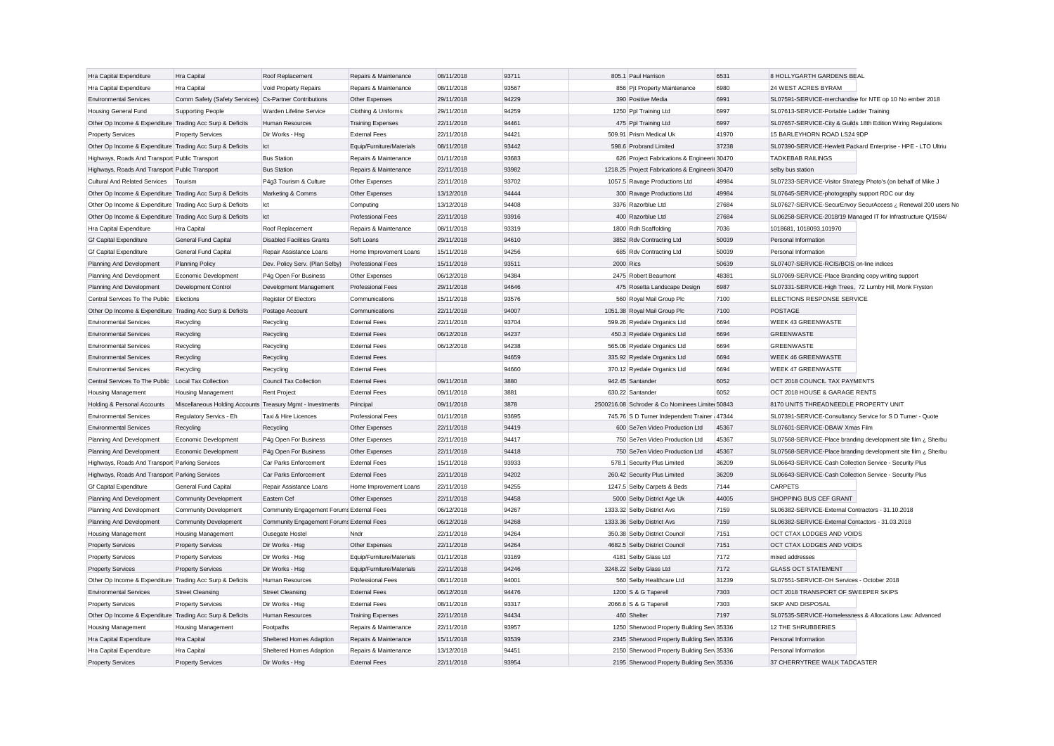| Hra Capital Expenditure                                   | Hra Capital                                                | Roof Replacement                          | Repairs & Maintenance     | 08/11/2018 | 93711 | 805.1 Paul Harrison                             | 6531  | 8 HOLLYGARTH GARDENS BEAL                                      |
|-----------------------------------------------------------|------------------------------------------------------------|-------------------------------------------|---------------------------|------------|-------|-------------------------------------------------|-------|----------------------------------------------------------------|
| Hra Capital Expenditure                                   | Hra Capital                                                | Void Property Repairs                     | Repairs & Maintenance     | 08/11/2018 | 93567 | 856 Pjt Property Maintenance                    | 6980  | 24 WEST ACRES BYRAM                                            |
| <b>Environmental Services</b>                             | Comm Safety (Safety Services)                              | Cs-Partner Contributions                  | Other Expenses            | 29/11/2018 | 94229 | 390 Positive Media                              | 6991  | SL07591-SERVICE-merchandise for NTE op 10 No ember 2018        |
|                                                           |                                                            | Warden Lifeline Service                   |                           |            | 94259 |                                                 | 6997  |                                                                |
| Housing General Fund                                      | <b>Supporting People</b>                                   |                                           | Clothing & Uniforms       | 29/11/2018 | 94461 | 1250 Ppl Training Ltd                           | 6997  | SL07613-SERVICE-Portable Ladder Training                       |
| Other Op Income & Expenditure Trading Acc Surp & Deficits |                                                            | Human Resources                           | <b>Training Expenses</b>  | 22/11/2018 |       | 475 Ppl Training Ltd                            |       | SL07657-SERVICE-City & Guilds 18th Edition Wiring Regulations  |
| <b>Property Services</b>                                  | <b>Property Services</b>                                   | Dir Works - Hsg                           | <b>External Fees</b>      | 22/11/2018 | 94421 | 509.91 Prism Medical Uk                         | 41970 | 15 BARLEYHORN ROAD LS24 9DP                                    |
| Other Op Income & Expenditure Trading Acc Surp & Deficits |                                                            | Ict                                       | Equip/Furniture/Materials | 08/11/2018 | 93442 | 598.6 Probrand Limited                          | 37238 | SL07390-SERVICE-Hewlett Packard Enterprise - HPE - LTO Ultriu  |
| Highways, Roads And Transport Public Transport            |                                                            | <b>Bus Station</b>                        | Repairs & Maintenance     | 01/11/2018 | 93683 | 626 Project Fabrications & Engineerir 30470     |       | <b>TADKEBAB RAILINGS</b>                                       |
| Highways, Roads And Transport Public Transport            |                                                            | <b>Bus Station</b>                        | Repairs & Maintenance     | 22/11/2018 | 93982 | 1218.25 Project Fabrications & Engineerir 30470 |       | selby bus station                                              |
| Cultural And Related Services                             | Tourism                                                    | P4g3 Tourism & Culture                    | Other Expenses            | 22/11/2018 | 93702 | 1057.5 Ravage Productions Ltd                   | 49984 | SL07233-SERVICE-Visitor Strategy Photo's (on behalf of Mike J  |
| Other Op Income & Expenditure Trading Acc Surp & Deficits |                                                            | Marketing & Comms                         | Other Expenses            | 13/12/2018 | 94444 | 300 Ravage Productions Ltd                      | 49984 | SL07645-SERVICE-photography support RDC our day                |
| Other Op Income & Expenditure Trading Acc Surp & Deficits |                                                            | Ict                                       | Computing                 | 13/12/2018 | 94408 | 3376 Razorblue Ltd                              | 27684 | SL07627-SERVICE-SecurEnvoy SecurAccess ¿ Renewal 200 users No  |
| Other Op Income & Expenditure Trading Acc Surp & Deficits |                                                            | Ict                                       | Professional Fees         | 22/11/2018 | 93916 | 400 Razorblue Ltd                               | 27684 | SL06258-SERVICE-2018/19 Managed IT for Infrastructure Q/1584/  |
| Hra Capital Expenditure                                   | Hra Capital                                                | Roof Replacement                          | Repairs & Maintenance     | 08/11/2018 | 93319 | 1800 Rdh Scaffolding                            | 7036  | 1018681, 1018093, 101970                                       |
| <b>Gf Capital Expenditure</b>                             | <b>General Fund Capital</b>                                | <b>Disabled Facilities Grants</b>         | Soft Loans                | 29/11/2018 | 94610 | 3852 Rdv Contracting Ltd                        | 50039 | Personal Information                                           |
| <b>Gf Capital Expenditure</b>                             | <b>General Fund Capital</b>                                | Repair Assistance Loans                   | Home Improvement Loans    | 15/11/2018 | 94256 | 685 Rdv Contracting Ltd                         | 50039 | Personal Information                                           |
| Planning And Development                                  | <b>Planning Policy</b>                                     | Dev. Policy Serv. (Plan Selby)            | <b>Professional Fees</b>  | 15/11/2018 | 93511 | 2000 Rics                                       | 50639 | SL07407-SERVICE-RCIS/BCIS on-line indices                      |
| Planning And Development                                  | Economic Development                                       | P4g Open For Business                     | Other Expenses            | 06/12/2018 | 94384 | 2475 Robert Beaumont                            | 48381 | SL07069-SERVICE-Place Branding copy writing support            |
| Planning And Development                                  | Development Control                                        | Development Management                    | Professional Fees         | 29/11/2018 | 94646 | 475 Rosetta Landscape Design                    | 6987  | SL07331-SERVICE-High Trees, 72 Lumby Hill, Monk Fryston        |
| Central Services To The Public                            | Elections                                                  | Register Of Electors                      | Communications            | 15/11/2018 | 93576 | 560 Royal Mail Group Plc                        | 7100  | ELECTIONS RESPONSE SERVICE                                     |
| Other Op Income & Expenditure Trading Acc Surp & Deficits |                                                            | Postage Account                           | Communications            | 22/11/2018 | 94007 | 1051.38 Royal Mail Group Plc                    | 7100  | <b>POSTAGE</b>                                                 |
| <b>Environmental Services</b>                             | Recycling                                                  | Recycling                                 | <b>External Fees</b>      | 22/11/2018 | 93704 | 599.26 Ryedale Organics Ltd                     | 6694  | WEEK 43 GREENWASTE                                             |
| <b>Environmental Services</b>                             | Recycling                                                  | Recycling                                 | <b>External Fees</b>      | 06/12/2018 | 94237 | 450.3 Ryedale Organics Ltd                      | 6694  | <b>GREENWASTE</b>                                              |
| <b>Environmental Services</b>                             | Recycling                                                  | Recycling                                 | <b>External Fees</b>      | 06/12/2018 | 94238 | 565.06 Ryedale Organics Ltd                     | 6694  | <b>GREENWASTE</b>                                              |
| <b>Environmental Services</b>                             | Recycling                                                  | Recycling                                 | <b>External Fees</b>      |            | 94659 | 335.92 Ryedale Organics Ltd                     | 6694  | <b>WEEK 46 GREENWASTE</b>                                      |
| <b>Environmental Services</b>                             | Recycling                                                  | Recycling                                 | <b>External Fees</b>      |            | 94660 | 370.12 Ryedale Organics Ltd                     | 6694  | <b>WEEK 47 GREENWASTE</b>                                      |
|                                                           |                                                            |                                           | <b>External Fees</b>      | 09/11/2018 | 3880  | 942.45 Santander                                | 6052  |                                                                |
| Central Services To The Public                            | Local Tax Collection                                       | Council Tax Collection                    | <b>External Fees</b>      | 09/11/2018 | 3881  | 630.22 Santander                                | 6052  | OCT 2018 COUNCIL TAX PAYMENTS<br>OCT 2018 HOUSE & GARAGE RENTS |
| Housing Management                                        | <b>Housing Management</b>                                  | Rent Project                              |                           |            |       |                                                 |       |                                                                |
| Holding & Personal Accounts                               | Miscellaneous Holding Accounts Treasury Mgmt - Investments |                                           | Principal                 | 09/11/2018 | 3878  | 2500216.08 Schroder & Co Nominees Limite 50843  |       | 8170 UNITS THREADNEEDLE PROPERTY UNIT                          |
| <b>Environmental Services</b>                             | Regulatory Servics - Eh                                    | Taxi & Hire Licences                      | Professional Fees         | 01/11/2018 | 93695 | 745.76 S D Turner Independent Trainer 47344     |       | SL07391-SERVICE-Consultancy Service for S D Turner - Quote     |
| <b>Environmental Services</b>                             | Recycling                                                  | Recycling                                 | Other Expenses            | 22/11/2018 | 94419 | 600 Se7en Video Production Ltd                  | 45367 | SL07601-SERVICE-DBAW Xmas Film                                 |
| Planning And Development                                  | Economic Development                                       | P4g Open For Business                     | Other Expenses            | 22/11/2018 | 94417 | 750 Se7en Video Production Ltd                  | 45367 | SL07568-SERVICE-Place branding development site film ¿ Sherbu  |
| Planning And Development                                  | Economic Development                                       | P4g Open For Business                     | Other Expenses            | 22/11/2018 | 94418 | 750 Se7en Video Production Ltd                  | 45367 | SL07568-SERVICE-Place branding development site film ¿ Sherbu  |
| Highways, Roads And Transport Parking Services            |                                                            | Car Parks Enforcement                     | <b>External Fees</b>      | 15/11/2018 | 93933 | 578.1 Security Plus Limited                     | 36209 | SL06643-SERVICE-Cash Collection Service - Security Plus        |
| Highways, Roads And Transport Parking Services            |                                                            | Car Parks Enforcement                     | <b>External Fees</b>      | 22/11/2018 | 94202 | 260.42 Security Plus Limited                    | 36209 | SL06643-SERVICE-Cash Collection Service - Security Plus        |
| <b>Gf Capital Expenditure</b>                             | General Fund Capital                                       | Repair Assistance Loans                   | Home Improvement Loans    | 22/11/2018 | 94255 | 1247.5 Selby Carpets & Beds                     | 7144  | <b>CARPETS</b>                                                 |
| Planning And Development                                  | <b>Community Development</b>                               | Eastern Cef                               | Other Expenses            | 22/11/2018 | 94458 | 5000 Selby District Age Uk                      | 44005 | SHOPPING BUS CEF GRANT                                         |
| Planning And Development                                  | Community Development                                      | Community Engagement Forums External Fees |                           | 06/12/2018 | 94267 | 1333.32 Selby District Avs                      | 7159  | SL06382-SERVICE-External Contractors - 31.10.2018              |
| Planning And Development                                  | <b>Community Development</b>                               | Community Engagement Forums External Fees |                           | 06/12/2018 | 94268 | 1333.36 Selby District Avs                      | 7159  | SL06382-SERVICE-External Contactors - 31.03.2018               |
| Housing Management                                        | <b>Housing Management</b>                                  | <b>Ousegate Hostel</b>                    | Nndr                      | 22/11/2018 | 94264 | 350.38 Selby District Council                   | 7151  | OCT CTAX LODGES AND VOIDS                                      |
| <b>Property Services</b>                                  | <b>Property Services</b>                                   | Dir Works - Hsg                           | Other Expenses            | 22/11/2018 | 94264 | 4682.5 Selby District Council                   | 7151  | OCT CTAX LODGES AND VOIDS                                      |
| <b>Property Services</b>                                  | <b>Property Services</b>                                   | Dir Works - Hsg                           | Equip/Furniture/Materials | 01/11/2018 | 93169 | 4181 Selby Glass Ltd                            | 7172  | mixed addresses                                                |
| <b>Property Services</b>                                  | <b>Property Services</b>                                   | Dir Works - Hsg                           | Equip/Furniture/Materials | 22/11/2018 | 94246 | 3248.22 Selby Glass Ltd                         | 7172  | <b>GLASS OCT STATEMENT</b>                                     |
| Other Op Income & Expenditure Trading Acc Surp & Deficits |                                                            | Human Resources                           | Professional Fees         | 08/11/2018 | 94001 | 560 Selby Healthcare Ltd                        | 31239 | SL07551-SERVICE-OH Services - October 2018                     |
| <b>Environmental Services</b>                             | <b>Street Cleansing</b>                                    | <b>Street Cleansing</b>                   | <b>External Fees</b>      | 06/12/2018 | 94476 | 1200 S & G Taperell                             | 7303  | OCT 2018 TRANSPORT OF SWEEPER SKIPS                            |
| <b>Property Services</b>                                  | <b>Property Services</b>                                   | Dir Works - Hsg                           | <b>External Fees</b>      | 08/11/2018 | 93317 | 2066.6 S & G Taperell                           | 7303  | SKIP AND DISPOSAL                                              |
| Other Op Income & Expenditure Trading Acc Surp & Deficits |                                                            | Human Resources                           | <b>Training Expenses</b>  | 22/11/2018 | 94434 | 460 Shelter                                     | 7197  | SL07535-SERVICE-Homelessness & Allocations Law: Advanced       |
| Housing Management                                        | Housing Management                                         | Footpaths                                 | Repairs & Maintenance     | 22/11/2018 | 93957 | 1250 Sherwood Property Building Serv 35336      |       | 12 THE SHRUBBERIES                                             |
| Hra Capital Expenditure                                   | Hra Capital                                                | Sheltered Homes Adaption                  | Repairs & Maintenance     | 15/11/2018 | 93539 | 2345 Sherwood Property Building Sen 35336       |       | Personal Information                                           |
| Hra Capital Expenditure                                   | Hra Capital                                                | Sheltered Homes Adaption                  | Repairs & Maintenance     | 13/12/2018 | 94451 | 2150 Sherwood Property Building Sen 35336       |       | Personal Information                                           |
| <b>Property Services</b>                                  | <b>Property Services</b>                                   | Dir Works - Hsg                           | <b>External Fees</b>      | 22/11/2018 | 93954 | 2195 Sherwood Property Building Sen 35336       |       | 37 CHERRYTREE WALK TADCASTER                                   |
|                                                           |                                                            |                                           |                           |            |       |                                                 |       |                                                                |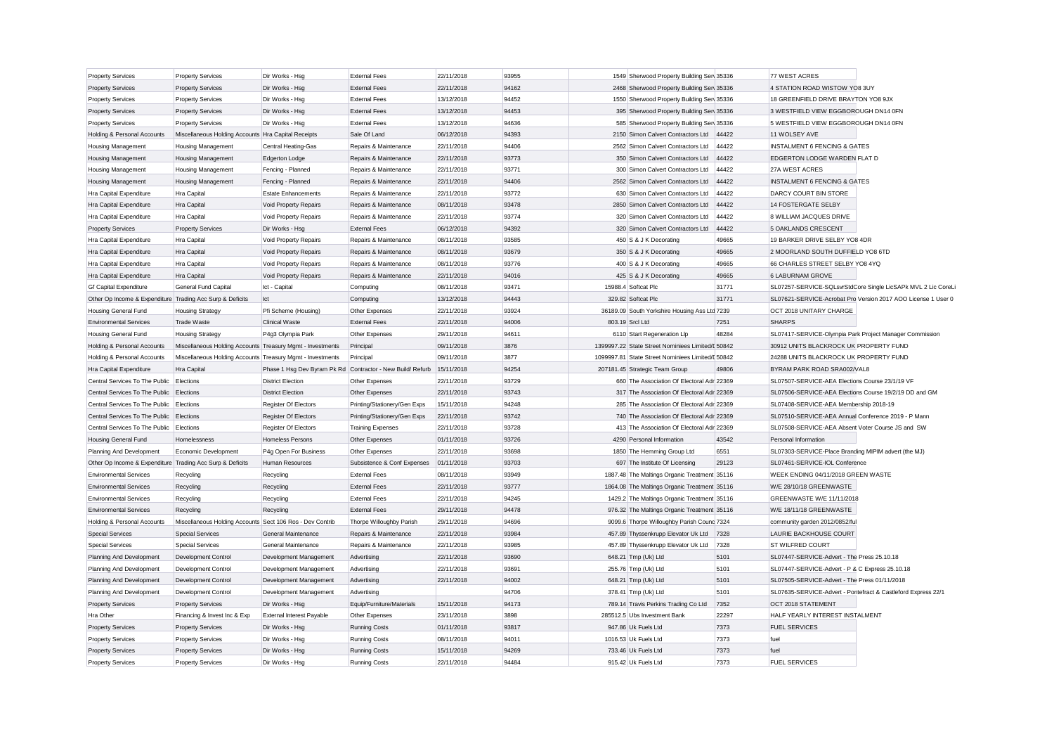| <b>Property Services</b>                                  | <b>Property Services</b>                                   | Dir Works - Hsg                  | <b>External Fees</b>                                                  | 22/11/2018 | 93955          | 1549 Sherwood Property Building Sen 35336         |       | 77 WEST ACRES                                                 |
|-----------------------------------------------------------|------------------------------------------------------------|----------------------------------|-----------------------------------------------------------------------|------------|----------------|---------------------------------------------------|-------|---------------------------------------------------------------|
| <b>Property Services</b>                                  | <b>Property Services</b>                                   | Dir Works - Hsg                  | <b>External Fees</b>                                                  | 22/11/2018 | 94162          | 2468 Sherwood Property Building Sen 35336         |       | 4 STATION ROAD WISTOW YO8 3UY                                 |
| <b>Property Services</b>                                  | <b>Property Services</b>                                   | Dir Works - Hsg                  | <b>External Fees</b>                                                  | 13/12/2018 | 94452          | 1550 Sherwood Property Building Sen 35336         |       | 18 GREENFIELD DRIVE BRAYTON YO8 9JX                           |
| <b>Property Services</b>                                  | <b>Property Services</b>                                   | Dir Works - Hsg                  | <b>External Fees</b>                                                  | 13/12/2018 | 94453          | 395 Sherwood Property Building Serv 35336         |       | 3 WESTFIELD VIEW EGGBOROUGH DN14 0FN                          |
| <b>Property Services</b>                                  | <b>Property Services</b>                                   | Dir Works - Hsg                  | <b>External Fees</b>                                                  | 13/12/2018 | 94636          | 585 Sherwood Property Building Sen 35336          |       | 5 WESTFIELD VIEW EGGBOROUGH DN14 0FN                          |
| Holding & Personal Accounts                               | Miscellaneous Holding Accounts Hra Capital Receipts        |                                  | Sale Of Land                                                          | 06/12/2018 | 94393          | 2150 Simon Calvert Contractors Ltd                | 44422 | 11 WOLSEY AVE                                                 |
| <b>Housing Management</b>                                 | <b>Housing Management</b>                                  | Central Heating-Gas              | Repairs & Maintenance                                                 | 22/11/2018 | 94406          | 2562 Simon Calvert Contractors Ltd                | 44422 | <b>INSTALMENT 6 FENCING &amp; GATES</b>                       |
| <b>Housing Management</b>                                 | <b>Housing Management</b>                                  | <b>Edgerton Lodge</b>            | Repairs & Maintenance                                                 | 22/11/2018 | 93773          | 350 Simon Calvert Contractors Ltd                 | 44422 | EDGERTON LODGE WARDEN FLAT D                                  |
| <b>Housing Management</b>                                 | <b>Housing Management</b>                                  | Fencing - Planned                | Repairs & Maintenance                                                 | 22/11/2018 | 93771          | 300 Simon Calvert Contractors Ltd                 | 44422 | 27A WEST ACRES                                                |
| <b>Housing Management</b>                                 | <b>Housing Management</b>                                  | Fencing - Planned                | Repairs & Maintenance                                                 | 22/11/2018 | 94406          | 2562 Simon Calvert Contractors Ltd                | 44422 | <b>INSTALMENT 6 FENCING &amp; GATES</b>                       |
| Hra Capital Expenditure                                   | Hra Capital                                                | <b>Estate Enhancements</b>       | Repairs & Maintenance                                                 | 22/11/2018 | 93772          | 630 Simon Calvert Contractors Ltd                 | 44422 | DARCY COURT BIN STORE                                         |
| Hra Capital Expenditure                                   | Hra Capital                                                | Void Property Repairs            | Repairs & Maintenance                                                 | 08/11/2018 | 93478          | 2850 Simon Calvert Contractors Ltd                | 44422 | 14 FOSTERGATE SELBY                                           |
| Hra Capital Expenditure                                   | Hra Capital                                                | Void Property Repairs            | Repairs & Maintenance                                                 | 22/11/2018 | 93774          | 320 Simon Calvert Contractors Ltd                 | 44422 | 8 WILLIAM JACQUES DRIVE                                       |
| <b>Property Services</b>                                  | <b>Property Services</b>                                   | Dir Works - Hsg                  | <b>External Fees</b>                                                  | 06/12/2018 | 94392          | 320 Simon Calvert Contractors Ltd                 | 44422 | 5 OAKLANDS CRESCENT                                           |
| Hra Capital Expenditure                                   | Hra Capital                                                | Void Property Repairs            | Repairs & Maintenance                                                 | 08/11/2018 | 93585          | 450 S & J K Decorating                            | 49665 | 19 BARKER DRIVE SELBY YO8 4DR                                 |
| Hra Capital Expenditure                                   | Hra Capital                                                | Void Property Repairs            | Repairs & Maintenance                                                 | 08/11/2018 | 93679          | 350 S & J K Decorating                            | 49665 | 2 MOORLAND SOUTH DUFFIELD YO8 6TD                             |
| Hra Capital Expenditure                                   | Hra Capital                                                | Void Property Repairs            | Repairs & Maintenance                                                 | 08/11/2018 | 93776          | 400 S & J K Decorating                            | 49665 | 66 CHARLES STREET SELBY YO8 4YQ                               |
| Hra Capital Expenditure                                   | Hra Capital                                                | Void Property Repairs            | Repairs & Maintenance                                                 | 22/11/2018 | 94016          | 425 S & J K Decorating                            | 49665 | 6 LABURNAM GROVE                                              |
| <b>Gf Capital Expenditure</b>                             | General Fund Capital                                       | Ict - Capital                    | Computing                                                             | 08/11/2018 | 93471          | 15988.4 Softcat Plc                               | 31771 | SL07257-SERVICE-SQLsvrStdCore Single LicSAPk MVL 2 Lic CoreL  |
| Other Op Income & Expenditure Trading Acc Surp & Deficits |                                                            | Ict                              | Computing                                                             | 13/12/2018 | 94443          | 329.82 Softcat Plc                                | 31771 | SL07621-SERVICE-Acrobat Pro Version 2017 AOO License 1 User 0 |
| <b>Housing General Fund</b>                               | <b>Housing Strategy</b>                                    | Pfi Scheme (Housing)             | Other Expenses                                                        | 22/11/2018 | 93924          | 36189.09 South Yorkshire Housing Ass Ltd 7239     |       | OCT 2018 UNITARY CHARGE                                       |
| <b>Environmental Services</b>                             | <b>Trade Waste</b>                                         | <b>Clinical Waste</b>            | <b>External Fees</b>                                                  | 22/11/2018 | 94006          | 803.19 Srcl Ltd                                   | 7251  | <b>SHARPS</b>                                                 |
| <b>Housing General Fund</b>                               | <b>Housing Strategy</b>                                    | P4g3 Olympia Park                | Other Expenses                                                        | 29/11/2018 | 94611          | 6110 Start Regeneration Llp                       | 48284 | SL07417-SERVICE-Olympia Park Project Manager Commission       |
| Holding & Personal Accounts                               | Miscellaneous Holding Accounts Treasury Mgmt - Investments |                                  | Principal                                                             | 09/11/2018 | 3876           | 1399997.22 State Street Nominiees Limited/I 50842 |       | 30912 UNITS BLACKROCK UK PROPERTY FUND                        |
| Holding & Personal Accounts                               | Miscellaneous Holding Accounts Treasury Mgmt - Investments |                                  | Principal                                                             | 09/11/2018 | 3877           | 1099997.81 State Street Nominiees Limited/[ 50842 |       | 24288 UNITS BLACKROCK UK PROPERTY FUND                        |
| Hra Capital Expenditure                                   | Hra Capital                                                |                                  | Phase 1 Hsg Dev Byram Pk Rd Contractor - New Build/ Refurb 15/11/2018 |            | 94254          | 207181.45 Strategic Team Group                    | 49806 | BYRAM PARK ROAD SRA002/VAL8                                   |
| Central Services To The Public                            | Elections                                                  | <b>District Election</b>         | Other Expenses                                                        | 22/11/2018 | 93729          | 660 The Association Of Electoral Adr 22369        |       | SL07507-SERVICE-AEA Elections Course 23/1/19 VF               |
| Central Services To The Public Elections                  |                                                            | <b>District Election</b>         | Other Expenses                                                        | 22/11/2018 | 93743          | 317 The Association Of Electoral Adr 22369        |       | SL07506-SERVICE-AEA Elections Course 19/2/19 DD and GM        |
| Central Services To The Public                            | Elections                                                  | Register Of Electors             | Printing/Stationery/Gen Exps                                          | 15/11/2018 | 94248          | 285 The Association Of Electoral Adr 22369        |       | SL07408-SERVICE-AEA Membership 2018-19                        |
| Central Services To The Public Elections                  |                                                            | Register Of Electors             | Printing/Stationery/Gen Exps                                          | 22/11/2018 | 93742          | 740 The Association Of Electoral Adr 22369        |       | SL07510-SERVICE-AEA Annual Conference 2019 - P Mann           |
| Central Services To The Public Elections                  |                                                            | Register Of Electors             | <b>Training Expenses</b>                                              | 22/11/2018 | 93728          | 413 The Association Of Electoral Adr 22369        |       | SL07508-SERVICE-AEA Absent Voter Course JS and SW             |
| <b>Housing General Fund</b>                               | Homelessness                                               | <b>Homeless Persons</b>          | Other Expenses                                                        | 01/11/2018 | 93726          | 4290 Personal Information                         | 43542 | Personal Information                                          |
| Planning And Development                                  | Economic Development                                       | P4g Open For Business            | Other Expenses                                                        | 22/11/2018 | 93698          | 1850 The Hemming Group Ltd                        | 6551  | SL07303-SERVICE-Place Branding MIPIM advert (the MJ)          |
| Other Op Income & Expenditure Trading Acc Surp & Deficits |                                                            | Human Resources                  | Subsistence & Conf Expenses                                           | 01/11/2018 | 93703          | 697 The Institute Of Licensing                    | 29123 | SL07461-SERVICE-IOL Conference                                |
| <b>Environmental Services</b>                             | Recycling                                                  | Recycling                        | <b>External Fees</b>                                                  | 08/11/2018 | 93949          | 1887.48 The Maltings Organic Treatment 35116      |       | WEEK ENDING 04/11/2018 GREEN WASTE                            |
| <b>Environmental Services</b>                             | Recycling                                                  | Recycling                        | <b>External Fees</b>                                                  | 22/11/2018 | 93777          | 1864.08 The Maltings Organic Treatment 35116      |       | W/E 28/10/18 GREENWASTE                                       |
| <b>Environmental Services</b>                             | Recycling                                                  | Recycling                        | <b>External Fees</b>                                                  | 22/11/2018 | 94245          | 1429.2 The Maltings Organic Treatment 35116       |       | GREENWASTE W/E 11/11/2018                                     |
| <b>Environmental Services</b>                             | Recycling                                                  | Recycling                        | <b>External Fees</b>                                                  | 29/11/2018 | 94478          | 976.32 The Maltings Organic Treatment 35116       |       | W/E 18/11/18 GREENWASTE                                       |
| Holding & Personal Accounts                               | Miscellaneous Holding Accounts Sect 106 Ros - Dev Contrib  |                                  | Thorpe Willoughby Parish                                              | 29/11/2018 | 94696          | 9099.6 Thorpe Willoughby Parish Counc 7324        |       | community garden 2012/0852/ful                                |
| <b>Special Services</b>                                   | <b>Special Services</b>                                    | General Maintenance              | Repairs & Maintenance                                                 | 22/11/2018 | 93984          | 457.89 Thyssenkrupp Elevator Uk Ltd               | 7328  | LAURIE BACKHOUSE COURT                                        |
| <b>Special Services</b>                                   | <b>Special Services</b>                                    | General Maintenance              | Repairs & Maintenance                                                 | 22/11/2018 | 93985          | 457.89 Thyssenkrupp Elevator Uk Ltd               | 7328  | <b>ST WILFRED COURT</b>                                       |
| Planning And Development                                  | Development Control                                        | Development Management           | Advertising                                                           | 22/11/2018 | 93690          | 648.21 Tmp (Uk) Ltd                               | 5101  | SL07447-SERVICE-Advert - The Press 25.10.18                   |
| Planning And Development                                  | Development Control                                        | Development Management           | Advertising                                                           | 22/11/2018 | 93691          | 255.76 Tmp (Uk) Ltd                               | 5101  | SL07447-SERVICE-Advert - P & C Express 25.10.18               |
|                                                           |                                                            |                                  |                                                                       |            |                |                                                   |       |                                                               |
| Planning And Development                                  | <b>Development Control</b>                                 | Development Management           | Advertising                                                           | 22/11/2018 | 94002<br>94706 | 648.21 Tmp (Uk) Ltd                               | 5101  | SL07505-SERVICE-Advert - The Press 01/11/2018                 |
| Planning And Development                                  | Development Control                                        | Development Management           | Advertising                                                           |            |                | 378.41 Tmp (Uk) Ltd                               | 5101  | SL07635-SERVICE-Advert - Pontefract & Castleford Express 22/1 |
| <b>Property Services</b>                                  | <b>Property Services</b>                                   | Dir Works - Hsg                  | Equip/Furniture/Materials                                             | 15/11/2018 | 94173<br>3898  | 789.14 Travis Perkins Trading Co Ltd              | 7352  | OCT 2018 STATEMENT<br>HALF YEARLY INTEREST INSTALMENT         |
| Hra Other                                                 | Financing & Invest Inc & Exp                               | <b>External Interest Payable</b> | Other Expenses                                                        | 23/11/2018 |                | 285512.5 Ubs Investment Bank                      | 22297 |                                                               |
| <b>Property Services</b>                                  | <b>Property Services</b>                                   | Dir Works - Hsg                  | <b>Running Costs</b>                                                  | 01/11/2018 | 93817          | 947.86 Uk Fuels Ltd                               | 7373  | <b>FUEL SERVICES</b>                                          |
| <b>Property Services</b>                                  | <b>Property Services</b>                                   | Dir Works - Hsg                  | <b>Running Costs</b>                                                  | 08/11/2018 | 94011          | 1016.53 Uk Fuels Ltd                              | 7373  | fuel                                                          |
| <b>Property Services</b>                                  | <b>Property Services</b>                                   | Dir Works - Hsc                  | <b>Running Costs</b>                                                  | 15/11/2018 | 94269          | 733.46 Uk Fuels Ltd                               | 7373  | fuel                                                          |
| <b>Property Services</b>                                  | <b>Property Services</b>                                   | Dir Works - Hsg                  | <b>Running Costs</b>                                                  | 22/11/2018 | 94484          | 915.42 Uk Fuels Ltd                               | 7373  | <b>FUEL SERVICES</b>                                          |